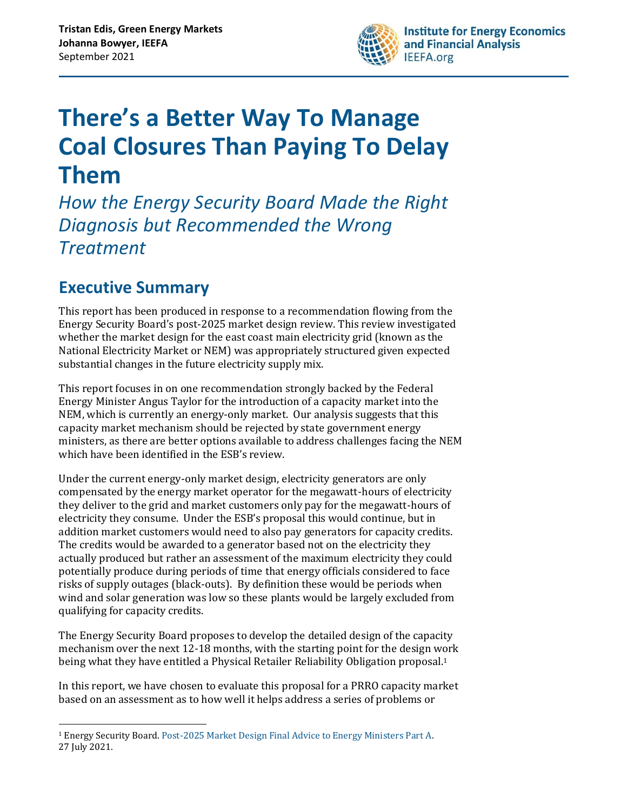

# **There's a Better Way To Manage Coal Closures Than Paying To Delay Them**

*How the Energy Security Board Made the Right Diagnosis but Recommended the Wrong Treatment* 

## <span id="page-0-0"></span>**Executive Summary**

This report has been produced in response to a recommendation flowing from the Energy Security Board's post-2025 market design review. This review investigated whether the market design for the east coast main electricity grid (known as the National Electricity Market or NEM) was appropriately structured given expected substantial changes in the future electricity supply mix.

This report focuses in on one recommendation strongly backed by the Federal Energy Minister Angus Taylor for the introduction of a capacity market into the NEM, which is currently an energy-only market. Our analysis suggests that this capacity market mechanism should be rejected by state government energy ministers, as there are better options available to address challenges facing the NEM which have been identified in the ESB's review.

Under the current energy-only market design, electricity generators are only compensated by the energy market operator for the megawatt-hours of electricity they deliver to the grid and market customers only pay for the megawatt-hours of electricity they consume. Under the ESB's proposal this would continue, but in addition market customers would need to also pay generators for capacity credits. The credits would be awarded to a generator based not on the electricity they actually produced but rather an assessment of the maximum electricity they could potentially produce during periods of time that energy officials considered to face risks of supply outages (black-outs). By definition these would be periods when wind and solar generation was low so these plants would be largely excluded from qualifying for capacity credits.

The Energy Security Board proposes to develop the detailed design of the capacity mechanism over the next 12-18 months, with the starting point for the design work being what they have entitled a Physical Retailer Reliability Obligation proposal.<sup>1</sup>

In this report, we have chosen to evaluate this proposal for a PRRO capacity market based on an assessment as to how well it helps address a series of problems or

<sup>1</sup> Energy Security Board. [Post-2025 Market Design Final Advice to Energy Ministers Part A.](https://esb-post2025-market-design.aemc.gov.au/32572/1629944958-post-2025-market-design-final-advice-to-energy-ministers-part-a.pdf)  27 July 2021.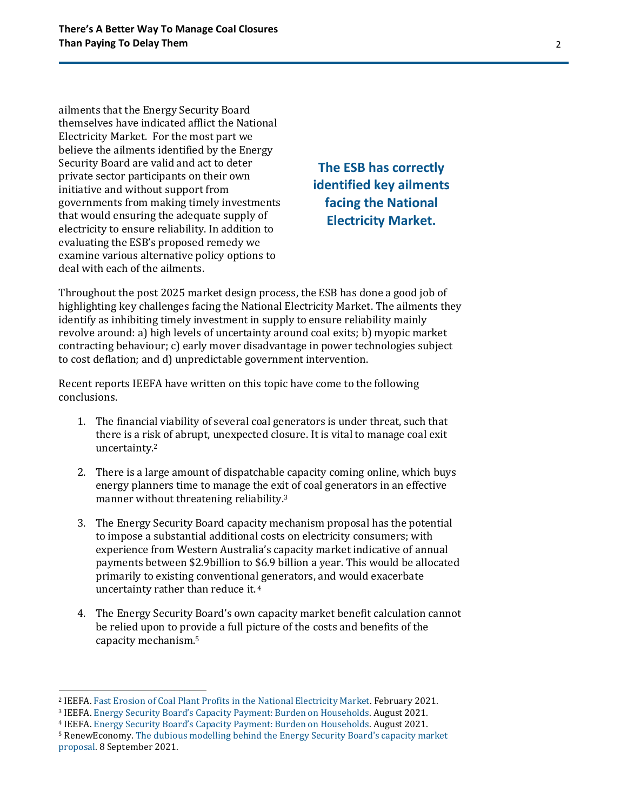ailments that the Energy Security Board themselves have indicated afflict the National Electricity Market. For the most part we believe the ailments identified by the Energy Security Board are valid and act to deter private sector participants on their own initiative and without support from governments from making timely investments that would ensuring the adequate supply of electricity to ensure reliability. In addition to evaluating the ESB's proposed remedy we examine various alternative policy options to deal with each of the ailments.

**The ESB has correctly identified key ailments facing the National Electricity Market.**

Throughout the post 2025 market design process, the ESB has done a good job of highlighting key challenges facing the National Electricity Market. The ailments they identify as inhibiting timely investment in supply to ensure reliability mainly revolve around: a) high levels of uncertainty around coal exits; b) myopic market contracting behaviour; c) early mover disadvantage in power technologies subject to cost deflation; and d) unpredictable government intervention.

Recent reports IEEFA have written on this topic have come to the following conclusions.

- 1. The financial viability of several coal generators is under threat, such that there is a risk of abrupt, unexpected closure. It is vital to manage coal exit uncertainty.<sup>2</sup>
- 2. There is a large amount of dispatchable capacity coming online, which buys energy planners time to manage the exit of coal generators in an effective manner without threatening reliability.<sup>3</sup>
- 3. The Energy Security Board capacity mechanism proposal has the potential to impose a substantial additional costs on electricity consumers; with experience from Western Australia's capacity market indicative of annual payments between \$2.9billion to \$6.9 billion a year. This would be allocated primarily to existing conventional generators, and would exacerbate uncertainty rather than reduce it. 4
- 4. The Energy Security Board's own capacity market benefit calculation cannot be relied upon to provide a full picture of the costs and benefits of the capacity mechanism.<sup>5</sup>

<sup>2</sup> IEEFA. [Fast Erosion of Coal Plant Profits in the National Electricity Market.](https://ieefa.org/wp-content/uploads/2021/02/Coal-Plant-Profitability-Is-Eroding_February-2021.pdf) February 2021.

<sup>3</sup> IEEFA. [Energy Security Board's Capacity Payment: Burden on Households](https://ieefa.org/wp-content/uploads/2021/08/ESB-Proposal-to-Require-Consumers-to-Pay-Generators-a-Capacity-Payment_August-2021.pdf). August 2021.

<sup>4</sup> IEEFA. [Energy Security Board's Capacity Payment: Burden on Households](https://ieefa.org/wp-content/uploads/2021/08/ESB-Proposal-to-Require-Consumers-to-Pay-Generators-a-Capacity-Payment_August-2021.pdf). August 2021.

<sup>5</sup> RenewEconomy[. The dubious modelling behind the Energy Security Board's capacity market](https://reneweconomy.com.au/the-dubious-modelling-behind-energy-security-boards-capacity-market-proposal/)  [proposal.](https://reneweconomy.com.au/the-dubious-modelling-behind-energy-security-boards-capacity-market-proposal/) 8 September 2021.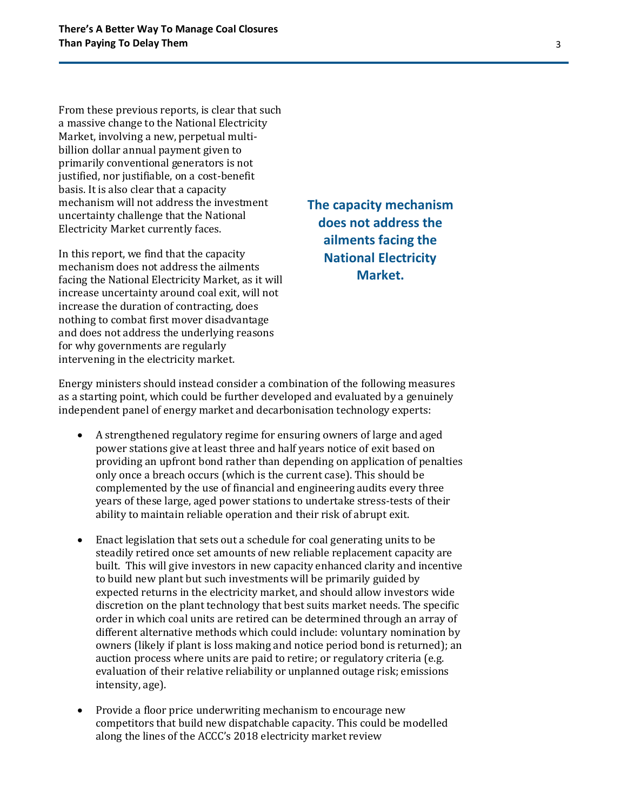From these previous reports, is clear that such a massive change to the National Electricity Market, involving a new, perpetual multibillion dollar annual payment given to primarily conventional generators is not justified, nor justifiable, on a cost-benefit basis. It is also clear that a capacity mechanism will not address the investment uncertainty challenge that the National Electricity Market currently faces.

In this report, we find that the capacity mechanism does not address the ailments facing the National Electricity Market, as it will increase uncertainty around coal exit, will not increase the duration of contracting, does nothing to combat first mover disadvantage and does not address the underlying reasons for why governments are regularly intervening in the electricity market.

**The capacity mechanism does not address the ailments facing the National Electricity Market.**

Energy ministers should instead consider a combination of the following measures as a starting point, which could be further developed and evaluated by a genuinely independent panel of energy market and decarbonisation technology experts:

- A strengthened regulatory regime for ensuring owners of large and aged power stations give at least three and half years notice of exit based on providing an upfront bond rather than depending on application of penalties only once a breach occurs (which is the current case). This should be complemented by the use of financial and engineering audits every three years of these large, aged power stations to undertake stress-tests of their ability to maintain reliable operation and their risk of abrupt exit.
- Enact legislation that sets out a schedule for coal generating units to be steadily retired once set amounts of new reliable replacement capacity are built. This will give investors in new capacity enhanced clarity and incentive to build new plant but such investments will be primarily guided by expected returns in the electricity market, and should allow investors wide discretion on the plant technology that best suits market needs. The specific order in which coal units are retired can be determined through an array of different alternative methods which could include: voluntary nomination by owners (likely if plant is loss making and notice period bond is returned); an auction process where units are paid to retire; or regulatory criteria (e.g. evaluation of their relative reliability or unplanned outage risk; emissions intensity, age).
- Provide a floor price underwriting mechanism to encourage new competitors that build new dispatchable capacity. This could be modelled along the lines of the ACCC's 2018 electricity market review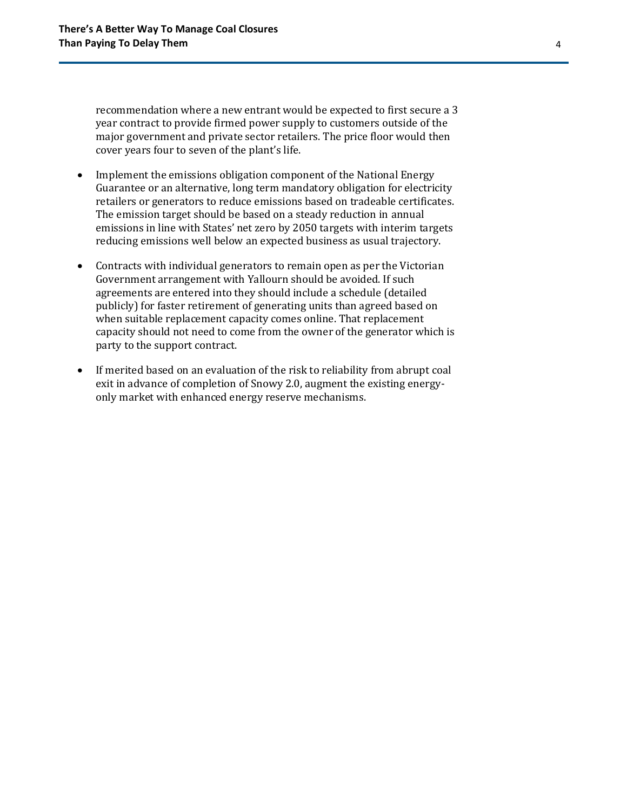recommendation where a new entrant would be expected to first secure a 3 year contract to provide firmed power supply to customers outside of the major government and private sector retailers. The price floor would then cover years four to seven of the plant's life.

- Implement the emissions obligation component of the National Energy Guarantee or an alternative, long term mandatory obligation for electricity retailers or generators to reduce emissions based on tradeable certificates. The emission target should be based on a steady reduction in annual emissions in line with States' net zero by 2050 targets with interim targets reducing emissions well below an expected business as usual trajectory.
- Contracts with individual generators to remain open as per the Victorian Government arrangement with Yallourn should be avoided. If such agreements are entered into they should include a schedule (detailed publicly) for faster retirement of generating units than agreed based on when suitable replacement capacity comes online. That replacement capacity should not need to come from the owner of the generator which is party to the support contract.
- If merited based on an evaluation of the risk to reliability from abrupt coal exit in advance of completion of Snowy 2.0, augment the existing energyonly market with enhanced energy reserve mechanisms.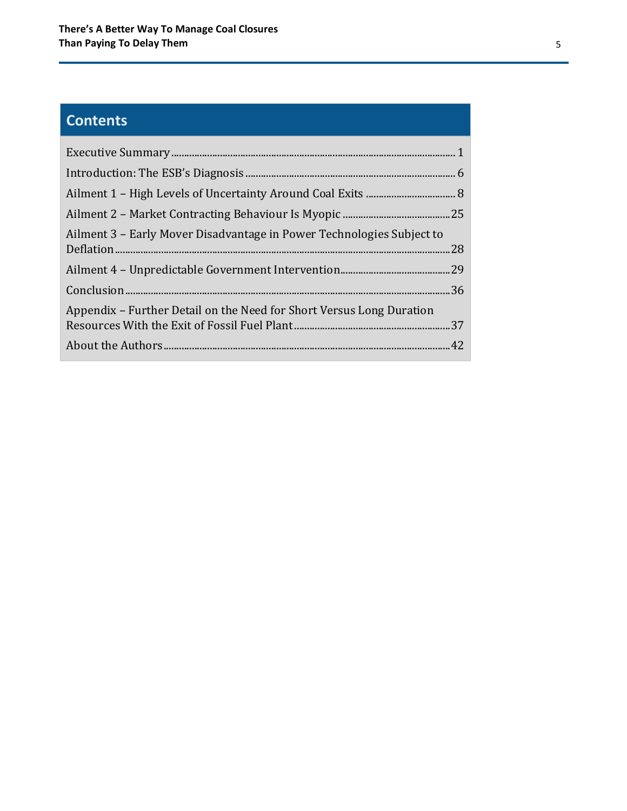## **Contents**

| Ailment 3 – Early Mover Disadvantage in Power Technologies Subject to |  |
|-----------------------------------------------------------------------|--|
|                                                                       |  |
|                                                                       |  |
| Appendix – Further Detail on the Need for Short Versus Long Duration  |  |
|                                                                       |  |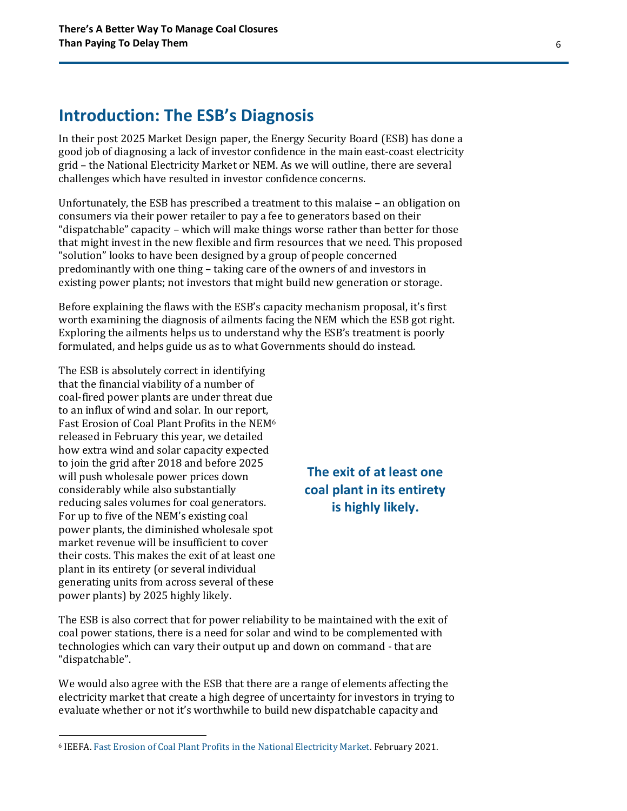### <span id="page-5-0"></span>**Introduction: The ESB's Diagnosis**

In their post 2025 Market Design paper, the Energy Security Board (ESB) has done a good job of diagnosing a lack of investor confidence in the main east-coast electricity grid – the National Electricity Market or NEM. As we will outline, there are several challenges which have resulted in investor confidence concerns.

Unfortunately, the ESB has prescribed a treatment to this malaise – an obligation on consumers via their power retailer to pay a fee to generators based on their "dispatchable" capacity – which will make things worse rather than better for those that might invest in the new flexible and firm resources that we need. This proposed "solution" looks to have been designed by a group of people concerned predominantly with one thing – taking care of the owners of and investors in existing power plants; not investors that might build new generation or storage.

Before explaining the flaws with the ESB's capacity mechanism proposal, it's first worth examining the diagnosis of ailments facing the NEM which the ESB got right. Exploring the ailments helps us to understand why the ESB's treatment is poorly formulated, and helps guide us as to what Governments should do instead.

The ESB is absolutely correct in identifying that the financial viability of a number of coal-fired power plants are under threat due to an influx of wind and solar. In our report, Fast Erosion of Coal Plant Profits in the NEM<sup>6</sup> released in February this year, we detailed how extra wind and solar capacity expected to join the grid after 2018 and before 2025 will push wholesale power prices down considerably while also substantially reducing sales volumes for coal generators. For up to five of the NEM's existing coal power plants, the diminished wholesale spot market revenue will be insufficient to cover their costs. This makes the exit of at least one plant in its entirety (or several individual generating units from across several of these power plants) by 2025 highly likely.

### **The exit of at least one coal plant in its entirety is highly likely.**

The ESB is also correct that for power reliability to be maintained with the exit of coal power stations, there is a need for solar and wind to be complemented with technologies which can vary their output up and down on command - that are "dispatchable".

We would also agree with the ESB that there are a range of elements affecting the electricity market that create a high degree of uncertainty for investors in trying to evaluate whether or not it's worthwhile to build new dispatchable capacity and

<sup>6</sup> IEEFA. [Fast Erosion of Coal Plant Profits in the National Electricity Market.](https://ieefa.org/wp-content/uploads/2021/02/Coal-Plant-Profitability-Is-Eroding_February-2021.pdf) February 2021.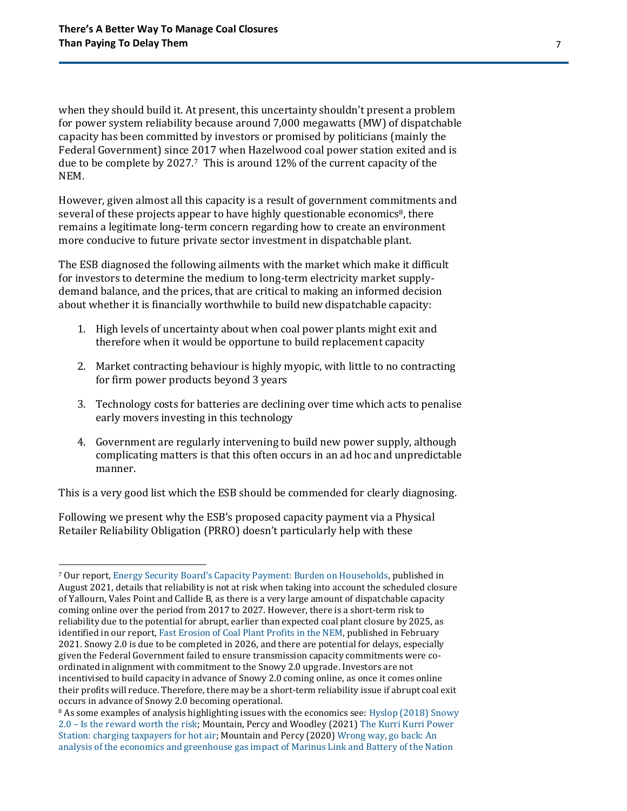when they should build it. At present, this uncertainty shouldn't present a problem for power system reliability because around 7,000 megawatts (MW) of dispatchable capacity has been committed by investors or promised by politicians (mainly the Federal Government) since 2017 when Hazelwood coal power station exited and is due to be complete by 2027. <sup>7</sup> This is around 12% of the current capacity of the NEM.

However, given almost all this capacity is a result of government commitments and several of these projects appear to have highly questionable economics<sup>8</sup>, there remains a legitimate long-term concern regarding how to create an environment more conducive to future private sector investment in dispatchable plant.

The ESB diagnosed the following ailments with the market which make it difficult for investors to determine the medium to long-term electricity market supplydemand balance, and the prices, that are critical to making an informed decision about whether it is financially worthwhile to build new dispatchable capacity:

- 1. High levels of uncertainty about when coal power plants might exit and therefore when it would be opportune to build replacement capacity
- 2. Market contracting behaviour is highly myopic, with little to no contracting for firm power products beyond 3 years
- 3. Technology costs for batteries are declining over time which acts to penalise early movers investing in this technology
- 4. Government are regularly intervening to build new power supply, although complicating matters is that this often occurs in an ad hoc and unpredictable manner.

This is a very good list which the ESB should be commended for clearly diagnosing.

Following we present why the ESB's proposed capacity payment via a Physical Retailer Reliability Obligation (PRRO) doesn't particularly help with these

<sup>7</sup> Our report, Energy Security Board's C[apacity Payment: Burden on Households,](https://ieefa.org/wp-content/uploads/2021/08/ESB-Proposal-to-Require-Consumers-to-Pay-Generators-a-Capacity-Payment_August-2021.pdf?utm_source=rss&utm_medium=rss&utm_campaign=esb-proposal-to-require-consumers-to-pay-generators-a-capacity-payment_august-2021) published in August 2021, details that reliability is not at risk when taking into account the scheduled closure of Yallourn, Vales Point and Callide B, as there is a very large amount of dispatchable capacity coming online over the period from 2017 to 2027. However, there is a short-term risk to reliability due to the potential for abrupt, earlier than expected coal plant closure by 2025, as identified in our report[, Fast Erosion of Coal Plant Profits in the NEM,](https://ieefa.org/wp-content/uploads/2021/02/Coal-Plant-Profitability-Is-Eroding_February-2021.pdf) published in February 2021. Snowy 2.0 is due to be completed in 2026, and there are potential for delays, especially given the Federal Government failed to ensure transmission capacity commitments were coordinated in alignment with commitment to the Snowy 2.0 upgrade. Investors are not incentivised to build capacity in advance of Snowy 2.0 coming online, as once it comes online their profits will reduce. Therefore, there may be a short-term reliability issue if abrupt coal exit occurs in advance of Snowy 2.0 becoming operational.

<sup>&</sup>lt;sup>8</sup> As some examples of analysis highlighting issues with the economics see: Hyslop (2018) Snowy 2.0 – [Is the reward worth the risk;](https://reneweconomy.com.au/snowy-2-0-is-the-reward-worth-the-risk-28883/) Mountain, Percy and Woodley (2021[\) The Kurri Kurri Power](https://243b2ed8-6648-49fe-80f0-f281c11c3917.filesusr.com/ugd/92a2aa_fba5b6e82d644293ad959586211572f1.pdf)  [Station: charging taxpayers for hot air;](https://243b2ed8-6648-49fe-80f0-f281c11c3917.filesusr.com/ugd/92a2aa_fba5b6e82d644293ad959586211572f1.pdf) Mountain and Percy (2020[\) Wrong way, go back: An](https://243b2ed8-6648-49fe-80f0-f281c11c3917.filesusr.com/ugd/cb01c4_91b44275f6b145fd92e4818713ab2107.pdf)  [analysis of the economics and greenhouse gas impact of Marinus Link and Battery of the Nation](https://243b2ed8-6648-49fe-80f0-f281c11c3917.filesusr.com/ugd/cb01c4_91b44275f6b145fd92e4818713ab2107.pdf)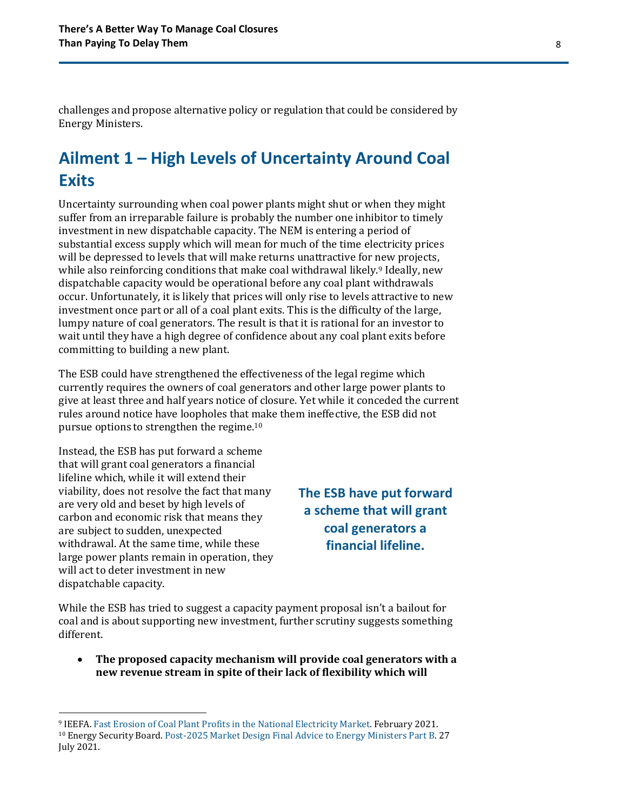challenges and propose alternative policy or regulation that could be considered by Energy Ministers.

## <span id="page-7-0"></span>**Ailment 1 – High Levels of Uncertainty Around Coal Exits**

Uncertainty surrounding when coal power plants might shut or when they might suffer from an irreparable failure is probably the number one inhibitor to timely investment in new dispatchable capacity. The NEM is entering a period of substantial excess supply which will mean for much of the time electricity prices will be depressed to levels that will make returns unattractive for new projects, while also reinforcing conditions that make coal withdrawal likely.<sup>9</sup> Ideally, new dispatchable capacity would be operational before any coal plant withdrawals occur. Unfortunately, it is likely that prices will only rise to levels attractive to new investment once part or all of a coal plant exits. This is the difficulty of the large, lumpy nature of coal generators. The result is that it is rational for an investor to wait until they have a high degree of confidence about any coal plant exits before committing to building a new plant.

The ESB could have strengthened the effectiveness of the legal regime which currently requires the owners of coal generators and other large power plants to give at least three and half years notice of closure. Yet while it conceded the current rules around notice have loopholes that make them ineffective, the ESB did not pursue options to strengthen the regime.<sup>10</sup>

Instead, the ESB has put forward a scheme that will grant coal generators a financial lifeline which, while it will extend their viability, does not resolve the fact that many are very old and beset by high levels of carbon and economic risk that means they are subject to sudden, unexpected withdrawal. At the same time, while these large power plants remain in operation, they will act to deter investment in new dispatchable capacity.

**The ESB have put forward a scheme that will grant coal generators a financial lifeline.**

While the ESB has tried to suggest a capacity payment proposal isn't a bailout for coal and is about supporting new investment, further scrutiny suggests something different.

• **The proposed capacity mechanism will provide coal generators with a new revenue stream in spite of their lack of flexibility which will** 

<sup>9</sup> IEEFA. Fast Erosion of [Coal Plant Profits in the National Electricity Market.](https://ieefa.org/wp-content/uploads/2021/02/Coal-Plant-Profitability-Is-Eroding_February-2021.pdf) February 2021. <sup>10</sup> Energy Security Board[. Post-2025 Market Design Final Advice to Energy Ministers Part B.](https://esb-post2025-market-design.aemc.gov.au/32572/1629945809-post-2025-market-design-final-advice-to-energy-ministers-part-b.pdf) 27 July 2021.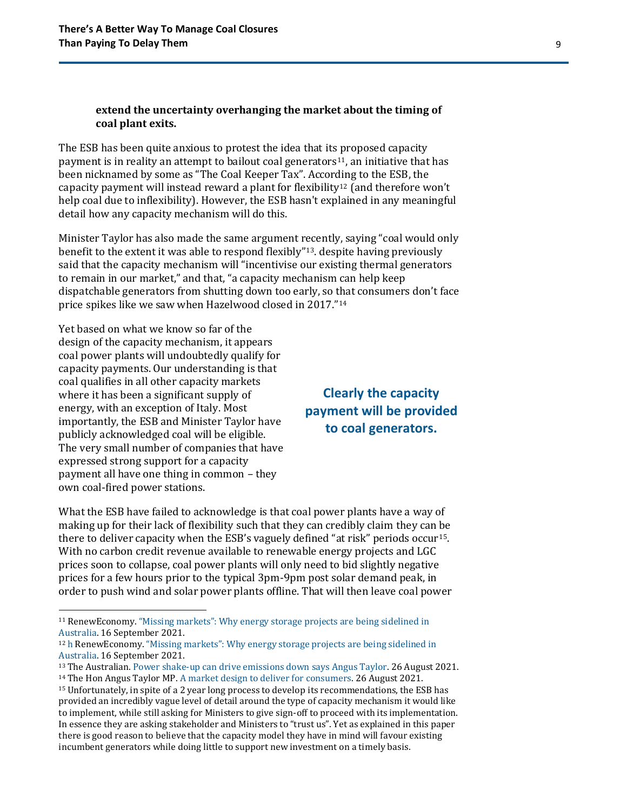#### **extend the uncertainty overhanging the market about the timing of coal plant exits.**

The ESB has been quite anxious to protest the idea that its proposed capacity payment is in reality an attempt to bailout coal generators11, an initiative that has been nicknamed by some as "The Coal Keeper Tax". According to the ESB, the capacity payment will instead reward a plant for flexibility<sup>12</sup> (and therefore won't help coal due to inflexibility). However, the ESB hasn't explained in any meaningful detail how any capacity mechanism will do this.

Minister Taylor has also made the same argument recently, saying "coal would only benefit to the extent it was able to respond flexibly" <sup>13</sup>. despite having previously said that the capacity mechanism will "incentivise our existing thermal generators to remain in our market," and that, "a capacity mechanism can help keep dispatchable generators from shutting down too early, so that consumers don't face price spikes like we saw when Hazelwood closed in 2017."<sup>14</sup>

Yet based on what we know so far of the design of the capacity mechanism, it appears coal power plants will undoubtedly qualify for capacity payments. Our understanding is that coal qualifies in all other capacity markets where it has been a significant supply of energy, with an exception of Italy. Most importantly, the ESB and Minister Taylor have publicly acknowledged coal will be eligible. The very small number of companies that have expressed strong support for a capacity payment all have one thing in common – they own coal-fired power stations.

### **Clearly the capacity payment will be provided to coal generators.**

What the ESB have failed to acknowledge is that coal power plants have a way of making up for their lack of flexibility such that they can credibly claim they can be there to deliver capacity when the ESB's vaguely defined "at risk" periods occur15. With no carbon credit revenue available to renewable energy projects and LGC prices soon to collapse, coal power plants will only need to bid slightly negative prices for a few hours prior to the typical 3pm-9pm post solar demand peak, in order to push wind and solar power plants offline. That will then leave coal power

<sup>11</sup> RenewEconomy. ["Missing markets": Why energy storage projects are](https://reneweconomy.com.au/missing-markets-why-energy-storage-projects-are-being-sidelined-in-australia/) being sidelined in [Australia.](https://reneweconomy.com.au/missing-markets-why-energy-storage-projects-are-being-sidelined-in-australia/) 16 September 2021.

<sup>12</sup> h RenewEconomy. ["Missing markets": Why energy storage projects are being sidelined in](https://reneweconomy.com.au/missing-markets-why-energy-storage-projects-are-being-sidelined-in-australia/)  [Australia.](https://reneweconomy.com.au/missing-markets-why-energy-storage-projects-are-being-sidelined-in-australia/) 16 September 2021.

<sup>13</sup> The Australian. [Power shake-up can drive emissions down says Angus Taylor.](https://www.theaustralian.com.au/business/mining-energy/power-shakeup-can-drive-emissions-down-says-angus-taylor/news-story/e57e18db6b659d19e808ddfdb1925fff) 26 August 2021. <sup>14</sup> The Hon Angus Taylor MP. [A market design to deliver for consumers.](https://www.minister.industry.gov.au/ministers/taylor/media-releases/market-design-deliver-consumers) 26 August 2021.

<sup>15</sup> Unfortunately, in spite of a 2 year long process to develop its recommendations, the ESB has provided an incredibly vague level of detail around the type of capacity mechanism it would like to implement, while still asking for Ministers to give sign-off to proceed with its implementation. In essence they are asking stakeholder and Ministers to "trust us". Yet as explained in this paper there is good reason to believe that the capacity model they have in mind will favour existing incumbent generators while doing little to support new investment on a timely basis.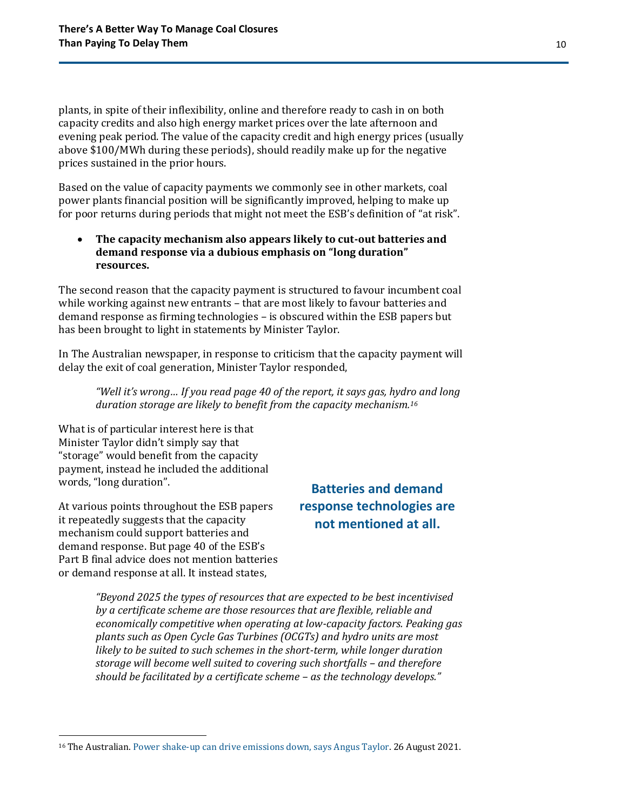plants, in spite of their inflexibility, online and therefore ready to cash in on both capacity credits and also high energy market prices over the late afternoon and evening peak period. The value of the capacity credit and high energy prices (usually above \$100/MWh during these periods), should readily make up for the negative prices sustained in the prior hours.

Based on the value of capacity payments we commonly see in other markets, coal power plants financial position will be significantly improved, helping to make up for poor returns during periods that might not meet the ESB's definition of "at risk".

#### • **The capacity mechanism also appears likely to cut-out batteries and demand response via a dubious emphasis on "long duration" resources.**

The second reason that the capacity payment is structured to favour incumbent coal while working against new entrants – that are most likely to favour batteries and demand response as firming technologies – is obscured within the ESB papers but has been brought to light in statements by Minister Taylor.

In The Australian newspaper, in response to criticism that the capacity payment will delay the exit of coal generation, Minister Taylor responded,

*"Well it's wrong… If you read page 40 of the report, it says gas, hydro and long duration storage are likely to benefit from the capacity mechanism.<sup>16</sup>*

What is of particular interest here is that Minister Taylor didn't simply say that "storage" would benefit from the capacity payment, instead he included the additional words, "long duration".

At various points throughout the ESB papers it repeatedly suggests that the capacity mechanism could support batteries and demand response. But page 40 of the ESB's Part B final advice does not mention batteries or demand response at all. It instead states,

### **Batteries and demand response technologies are not mentioned at all.**

*"Beyond 2025 the types of resources that are expected to be best incentivised by a certificate scheme are those resources that are flexible, reliable and economically competitive when operating at low-capacity factors. Peaking gas plants such as Open Cycle Gas Turbines (OCGTs) and hydro units are most likely to be suited to such schemes in the short-term, while longer duration storage will become well suited to covering such shortfalls – and therefore should be facilitated by a certificate scheme – as the technology develops."*

<sup>&</sup>lt;sup>16</sup> The Australian. [Power shake-up can drive emissions down, says Angus Taylor.](https://www.theaustralian.com.au/business/mining-energy/power-shakeup-can-drive-emissions-down-says-angus-taylor/news-story/e57e18db6b659d19e808ddfdb1925fff) 26 August 2021.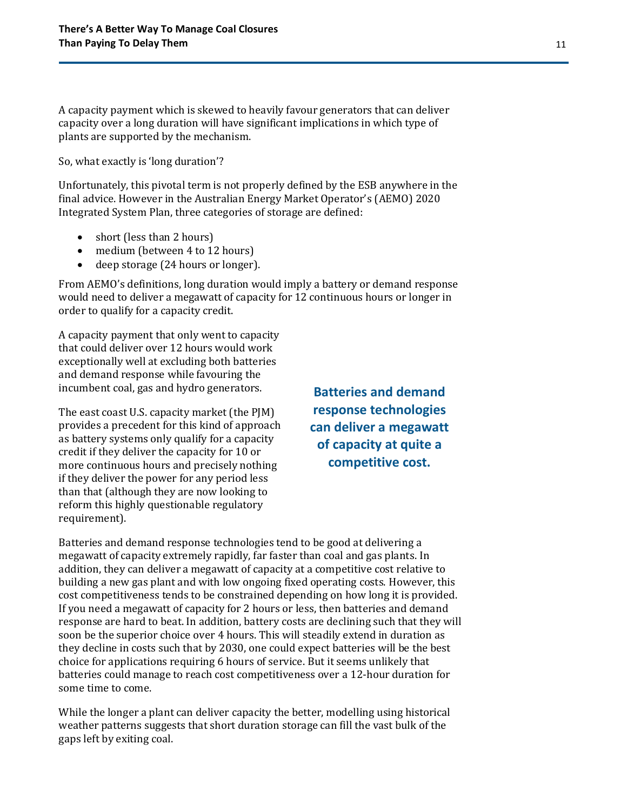A capacity payment which is skewed to heavily favour generators that can deliver capacity over a long duration will have significant implications in which type of plants are supported by the mechanism.

So, what exactly is 'long duration'?

Unfortunately, this pivotal term is not properly defined by the ESB anywhere in the final advice. However in the Australian Energy Market Operator's (AEMO) 2020 Integrated System Plan, three categories of storage are defined:

- short (less than 2 hours)
- medium (between 4 to 12 hours)
- deep storage (24 hours or longer).

From AEMO's definitions, long duration would imply a battery or demand response would need to deliver a megawatt of capacity for 12 continuous hours or longer in order to qualify for a capacity credit.

A capacity payment that only went to capacity that could deliver over 12 hours would work exceptionally well at excluding both batteries and demand response while favouring the incumbent coal, gas and hydro generators.

The east coast U.S. capacity market (the PJM) provides a precedent for this kind of approach as battery systems only qualify for a capacity credit if they deliver the capacity for 10 or more continuous hours and precisely nothing if they deliver the power for any period less than that (although they are now looking to reform this highly questionable regulatory requirement).

**Batteries and demand response technologies can deliver a megawatt of capacity at quite a competitive cost.**

Batteries and demand response technologies tend to be good at delivering a megawatt of capacity extremely rapidly, far faster than coal and gas plants. In addition, they can deliver a megawatt of capacity at a competitive cost relative to building a new gas plant and with low ongoing fixed operating costs. However, this cost competitiveness tends to be constrained depending on how long it is provided. If you need a megawatt of capacity for 2 hours or less, then batteries and demand response are hard to beat. In addition, battery costs are declining such that they will soon be the superior choice over 4 hours. This will steadily extend in duration as they decline in costs such that by 2030, one could expect batteries will be the best choice for applications requiring 6 hours of service. But it seems unlikely that batteries could manage to reach cost competitiveness over a 12-hour duration for some time to come.

While the longer a plant can deliver capacity the better, modelling using historical weather patterns suggests that short duration storage can fill the vast bulk of the gaps left by exiting coal.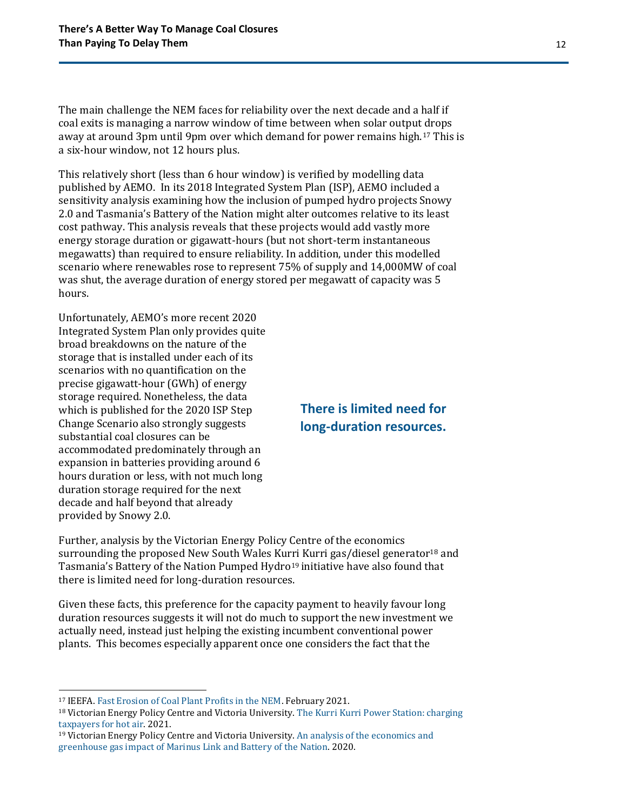The main challenge the NEM faces for reliability over the next decade and a half if coal exits is managing a narrow window of time between when solar output drops away at around 3pm until 9pm over which demand for power remains high.<sup>17</sup> This is a six-hour window, not 12 hours plus.

This relatively short (less than 6 hour window) is verified by modelling data published by AEMO. In its 2018 Integrated System Plan (ISP), AEMO included a sensitivity analysis examining how the inclusion of pumped hydro projects Snowy 2.0 and Tasmania's Battery of the Nation might alter outcomes relative to its least cost pathway. This analysis reveals that these projects would add vastly more energy storage duration or gigawatt-hours (but not short-term instantaneous megawatts) than required to ensure reliability. In addition, under this modelled scenario where renewables rose to represent 75% of supply and 14,000MW of coal was shut, the average duration of energy stored per megawatt of capacity was 5 hours.

Unfortunately, AEMO's more recent 2020 Integrated System Plan only provides quite broad breakdowns on the nature of the storage that is installed under each of its scenarios with no quantification on the precise gigawatt-hour (GWh) of energy storage required. Nonetheless, the data which is published for the 2020 ISP Step Change Scenario also strongly suggests substantial coal closures can be accommodated predominately through an expansion in batteries providing around 6 hours duration or less, with not much long duration storage required for the next decade and half beyond that already provided by Snowy 2.0.

### **There is limited need for long-duration resources.**

Further, analysis by the Victorian Energy Policy Centre of the economics surrounding the proposed New South Wales Kurri Kurri gas/diesel generator<sup>18</sup> and Tasmania's Battery of the Nation Pumped Hydro<sup>19</sup> initiative have also found that there is limited need for long-duration resources.

Given these facts, this preference for the capacity payment to heavily favour long duration resources suggests it will not do much to support the new investment we actually need, instead just helping the existing incumbent conventional power plants. This becomes especially apparent once one considers the fact that the

<sup>17</sup> IEEFA. [Fast Erosion of Coal Plant Profits in the NEM.](https://ieefa.org/wp-content/uploads/2021/02/Coal-Plant-Profitability-Is-Eroding_February-2021.pdf) February 2021.

<sup>&</sup>lt;sup>18</sup> Victorian Energy Policy Centre and Victoria University. The Kurri Kurri Power Station: charging [taxpayers for hot air.](https://243b2ed8-6648-49fe-80f0-f281c11c3917.filesusr.com/ugd/92a2aa_fba5b6e82d644293ad959586211572f1.pdf) 2021.

<sup>19</sup> Victorian Energy Policy Centre and Victoria University. [An analysis of the economics and](https://243b2ed8-6648-49fe-80f0-f281c11c3917.filesusr.com/ugd/cb01c4_91b44275f6b145fd92e4818713ab2107.pdf)  [greenhouse gas impact of Marinus Link and Battery of the Nation.](https://243b2ed8-6648-49fe-80f0-f281c11c3917.filesusr.com/ugd/cb01c4_91b44275f6b145fd92e4818713ab2107.pdf) 2020.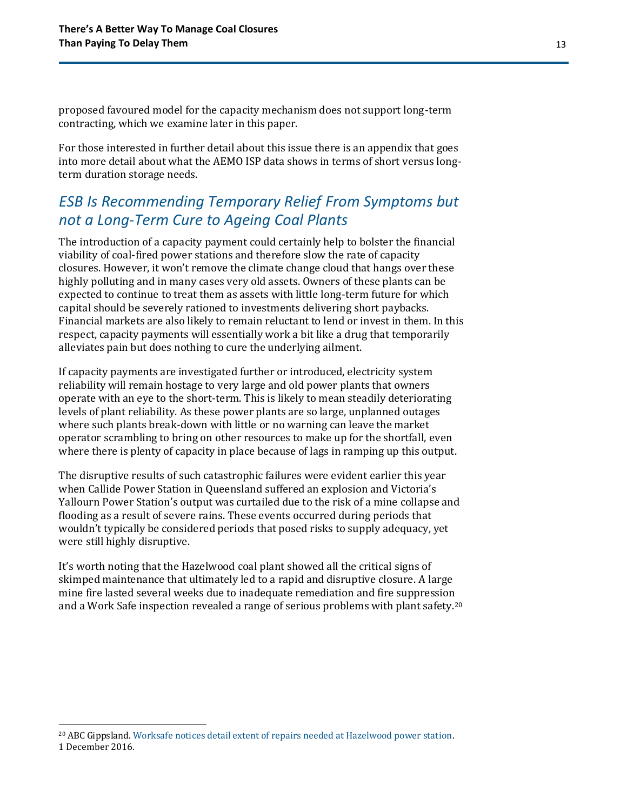proposed favoured model for the capacity mechanism does not support long-term contracting, which we examine later in this paper.

For those interested in further detail about this issue there is an appendix that goes into more detail about what the AEMO ISP data shows in terms of short versus longterm duration storage needs.

### *ESB Is Recommending Temporary Relief From Symptoms but not a Long-Term Cure to Ageing Coal Plants*

The introduction of a capacity payment could certainly help to bolster the financial viability of coal-fired power stations and therefore slow the rate of capacity closures. However, it won't remove the climate change cloud that hangs over these highly polluting and in many cases very old assets. Owners of these plants can be expected to continue to treat them as assets with little long-term future for which capital should be severely rationed to investments delivering short paybacks. Financial markets are also likely to remain reluctant to lend or invest in them. In this respect, capacity payments will essentially work a bit like a drug that temporarily alleviates pain but does nothing to cure the underlying ailment.

If capacity payments are investigated further or introduced, electricity system reliability will remain hostage to very large and old power plants that owners operate with an eye to the short-term. This is likely to mean steadily deteriorating levels of plant reliability. As these power plants are so large, unplanned outages where such plants break-down with little or no warning can leave the market operator scrambling to bring on other resources to make up for the shortfall, even where there is plenty of capacity in place because of lags in ramping up this output.

The disruptive results of such catastrophic failures were evident earlier this year when Callide Power Station in Queensland suffered an explosion and Victoria's Yallourn Power Station's output was curtailed due to the risk of a mine collapse and flooding as a result of severe rains. These events occurred during periods that wouldn't typically be considered periods that posed risks to supply adequacy, yet were still highly disruptive.

It's worth noting that the Hazelwood coal plant showed all the critical signs of skimped maintenance that ultimately led to a rapid and disruptive closure. A large mine fire lasted several weeks due to inadequate remediation and fire suppression and a Work Safe inspection revealed a range of serious problems with plant safety.<sup>20</sup>

<sup>20</sup> ABC Gippsland. [Worksafe notices detail extent of repairs needed at Hazelwood power station.](https://www.abc.net.au/news/2016-12-01/worksafe-notices-detail-extent-of-repairs-needed-at-hazelwood/8082318)  1 December 2016.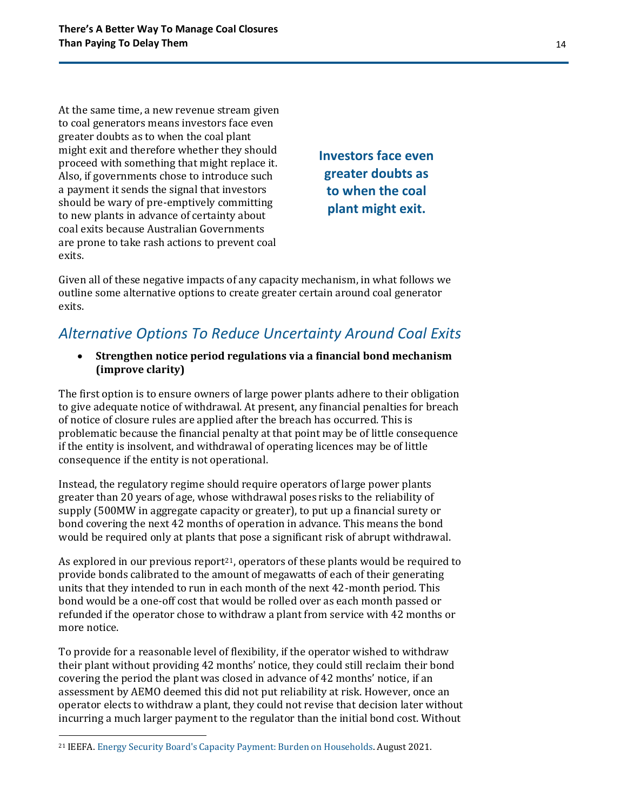At the same time, a new revenue stream given to coal generators means investors face even greater doubts as to when the coal plant might exit and therefore whether they should proceed with something that might replace it. Also, if governments chose to introduce such a payment it sends the signal that investors should be wary of pre-emptively committing to new plants in advance of certainty about coal exits because Australian Governments are prone to take rash actions to prevent coal exits.

**Investors face even greater doubts as to when the coal plant might exit.**

Given all of these negative impacts of any capacity mechanism, in what follows we outline some alternative options to create greater certain around coal generator exits.

### *Alternative Options To Reduce Uncertainty Around Coal Exits*

• **Strengthen notice period regulations via a financial bond mechanism (improve clarity)**

The first option is to ensure owners of large power plants adhere to their obligation to give adequate notice of withdrawal. At present, any financial penalties for breach of notice of closure rules are applied after the breach has occurred. This is problematic because the financial penalty at that point may be of little consequence if the entity is insolvent, and withdrawal of operating licences may be of little consequence if the entity is not operational.

Instead, the regulatory regime should require operators of large power plants greater than 20 years of age, whose withdrawal poses risks to the reliability of supply (500MW in aggregate capacity or greater), to put up a financial surety or bond covering the next 42 months of operation in advance. This means the bond would be required only at plants that pose a significant risk of abrupt withdrawal.

As explored in our previous report<sup>21</sup>, operators of these plants would be required to provide bonds calibrated to the amount of megawatts of each of their generating units that they intended to run in each month of the next 42-month period. This bond would be a one-off cost that would be rolled over as each month passed or refunded if the operator chose to withdraw a plant from service with 42 months or more notice.

To provide for a reasonable level of flexibility, if the operator wished to withdraw their plant without providing 42 months' notice, they could still reclaim their bond covering the period the plant was closed in advance of 42 months' notice, if an assessment by AEMO deemed this did not put reliability at risk. However, once an operator elects to withdraw a plant, they could not revise that decision later without incurring a much larger payment to the regulator than the initial bond cost. Without

<sup>21</sup> IEEFA. [Energy Security Board's Capacity Payment: Burden on Households.](https://ieefa.org/wp-content/uploads/2021/08/ESB-Proposal-to-Require-Consumers-to-Pay-Generators-a-Capacity-Payment_August-2021.pdf) August 2021.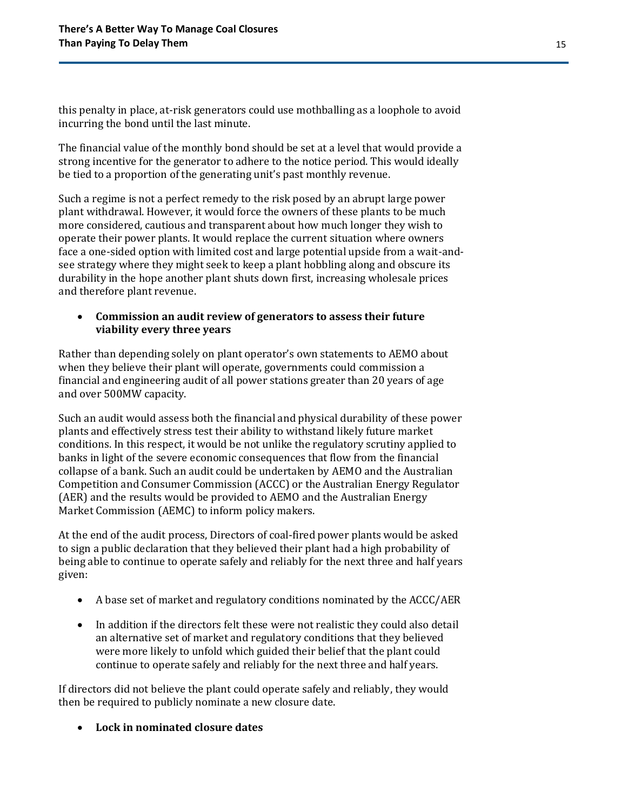this penalty in place, at-risk generators could use mothballing as a loophole to avoid incurring the bond until the last minute.

The financial value of the monthly bond should be set at a level that would provide a strong incentive for the generator to adhere to the notice period. This would ideally be tied to a proportion of the generating unit's past monthly revenue.

Such a regime is not a perfect remedy to the risk posed by an abrupt large power plant withdrawal. However, it would force the owners of these plants to be much more considered, cautious and transparent about how much longer they wish to operate their power plants. It would replace the current situation where owners face a one-sided option with limited cost and large potential upside from a wait-andsee strategy where they might seek to keep a plant hobbling along and obscure its durability in the hope another plant shuts down first, increasing wholesale prices and therefore plant revenue.

### • **Commission an audit review of generators to assess their future viability every three years**

Rather than depending solely on plant operator's own statements to AEMO about when they believe their plant will operate, governments could commission a financial and engineering audit of all power stations greater than 20 years of age and over 500MW capacity.

Such an audit would assess both the financial and physical durability of these power plants and effectively stress test their ability to withstand likely future market conditions. In this respect, it would be not unlike the regulatory scrutiny applied to banks in light of the severe economic consequences that flow from the financial collapse of a bank. Such an audit could be undertaken by AEMO and the Australian Competition and Consumer Commission (ACCC) or the Australian Energy Regulator (AER) and the results would be provided to AEMO and the Australian Energy Market Commission (AEMC) to inform policy makers.

At the end of the audit process, Directors of coal-fired power plants would be asked to sign a public declaration that they believed their plant had a high probability of being able to continue to operate safely and reliably for the next three and half years given:

- A base set of market and regulatory conditions nominated by the ACCC/AER
- In addition if the directors felt these were not realistic they could also detail an alternative set of market and regulatory conditions that they believed were more likely to unfold which guided their belief that the plant could continue to operate safely and reliably for the next three and half years.

If directors did not believe the plant could operate safely and reliably, they would then be required to publicly nominate a new closure date.

• **Lock in nominated closure dates**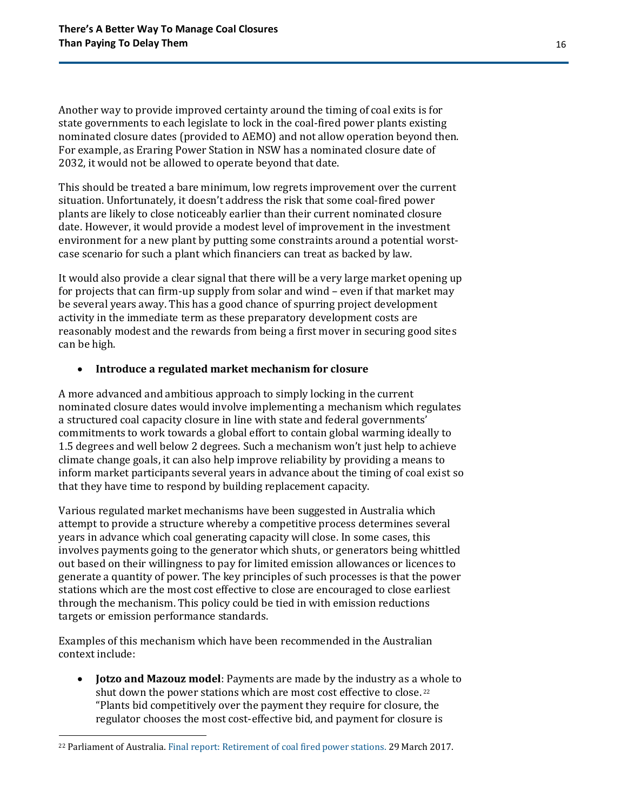Another way to provide improved certainty around the timing of coal exits is for state governments to each legislate to lock in the coal-fired power plants existing nominated closure dates (provided to AEMO) and not allow operation beyond then. For example, as Eraring Power Station in NSW has a nominated closure date of 2032, it would not be allowed to operate beyond that date.

This should be treated a bare minimum, low regrets improvement over the current situation. Unfortunately, it doesn't address the risk that some coal-fired power plants are likely to close noticeably earlier than their current nominated closure date. However, it would provide a modest level of improvement in the investment environment for a new plant by putting some constraints around a potential worstcase scenario for such a plant which financiers can treat as backed by law.

It would also provide a clear signal that there will be a very large market opening up for projects that can firm-up supply from solar and wind – even if that market may be several years away. This has a good chance of spurring project development activity in the immediate term as these preparatory development costs are reasonably modest and the rewards from being a first mover in securing good sites can be high.

#### • **Introduce a regulated market mechanism for closure**

A more advanced and ambitious approach to simply locking in the current nominated closure dates would involve implementing a mechanism which regulates a structured coal capacity closure in line with state and federal governments' commitments to work towards a global effort to contain global warming ideally to 1.5 degrees and well below 2 degrees. Such a mechanism won't just help to achieve climate change goals, it can also help improve reliability by providing a means to inform market participants several years in advance about the timing of coal exist so that they have time to respond by building replacement capacity.

Various regulated market mechanisms have been suggested in Australia which attempt to provide a structure whereby a competitive process determines several years in advance which coal generating capacity will close. In some cases, this involves payments going to the generator which shuts, or generators being whittled out based on their willingness to pay for limited emission allowances or licences to generate a quantity of power. The key principles of such processes is that the power stations which are the most cost effective to close are encouraged to close earliest through the mechanism. This policy could be tied in with emission reductions targets or emission performance standards.

Examples of this mechanism which have been recommended in the Australian context include:

• **Jotzo and Mazouz model**: Payments are made by the industry as a whole to shut down the power stations which are most cost effective to close. <sup>22</sup> "Plants bid competitively over the payment they require for closure, the regulator chooses the most cost-effective bid, and payment for closure is

<sup>22</sup> Parliament of Australia[. Final report: Retirement of coal fired power stations.](https://www.aph.gov.au/Parliamentary_Business/Committees/Senate/Environment_and_Communications/Coal_fired_power_stations/Final_Report) 29 March 2017.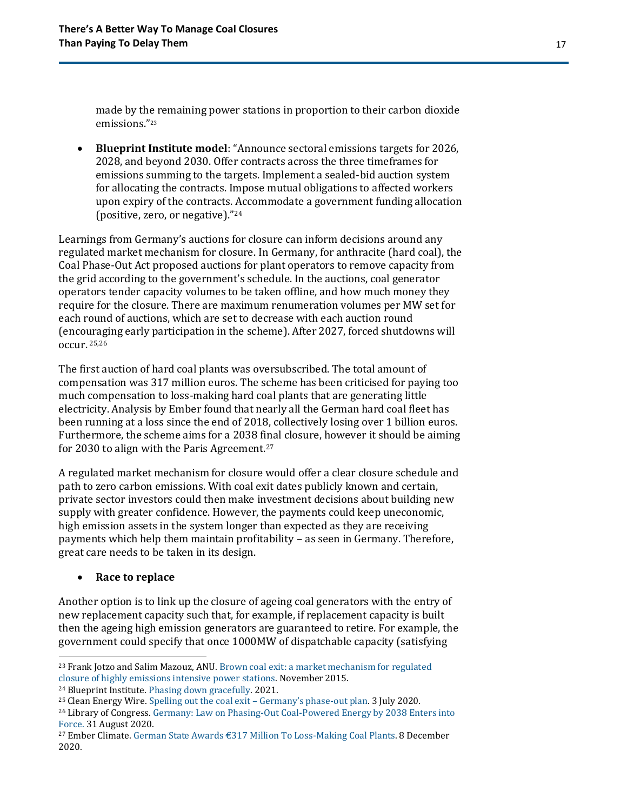made by the remaining power stations in proportion to their carbon dioxide emissions."<sup>23</sup>

• **Blueprint Institute model**: "Announce sectoral emissions targets for 2026, 2028, and beyond 2030. Offer contracts across the three timeframes for emissions summing to the targets. Implement a sealed-bid auction system for allocating the contracts. Impose mutual obligations to affected workers upon expiry of the contracts. Accommodate a government funding allocation (positive, zero, or negative)."<sup>24</sup>

Learnings from Germany's auctions for closure can inform decisions around any regulated market mechanism for closure. In Germany, for anthracite (hard coal), the Coal Phase-Out Act proposed auctions for plant operators to remove capacity from the grid according to the government's schedule. In the auctions, coal generator operators tender capacity volumes to be taken offline, and how much money they require for the closure. There are maximum renumeration volumes per MW set for each round of auctions, which are set to decrease with each auction round (encouraging early participation in the scheme). After 2027, forced shutdowns will occur. 25,26

The first auction of hard coal plants was oversubscribed. The total amount of compensation was 317 million euros. The scheme has been criticised for paying too much compensation to loss-making hard coal plants that are generating little electricity. Analysis by Ember found that nearly all the German hard coal fleet has been running at a loss since the end of 2018, collectively losing over 1 billion euros. Furthermore, the scheme aims for a 2038 final closure, however it should be aiming for 2030 to align with the Paris Agreement.<sup>27</sup>

A regulated market mechanism for closure would offer a clear closure schedule and path to zero carbon emissions. With coal exit dates publicly known and certain, private sector investors could then make investment decisions about building new supply with greater confidence. However, the payments could keep uneconomic, high emission assets in the system longer than expected as they are receiving payments which help them maintain profitability – as seen in Germany. Therefore, great care needs to be taken in its design.

#### • **Race to replace**

Another option is to link up the closure of ageing coal generators with the entry of new replacement capacity such that, for example, if replacement capacity is built then the ageing high emission generators are guaranteed to retire. For example, the government could specify that once 1000MW of dispatchable capacity (satisfying

<sup>&</sup>lt;sup>23</sup> Frank Jotzo and Salim Mazouz, ANU. Brown coal exit: a market mechanism for regulated [closure of highly emissions intensive power stations.](https://ccep.crawford.anu.edu.au/sites/default/files/publication/ccep_crawford_anu_edu_au/2015-11/ccep1510.pdf) November 2015.

<sup>24</sup> Blueprint Institute[. Phasing down gracefully.](https://blueprintinstitute.s3-ap-southeast-2.amazonaws.com/PhasingDownGracefully_FINAL.pdf) 2021.

<sup>25</sup> Clean Energy Wire. [Spelling out the coal exit](https://www.cleanenergywire.org/factsheets/spelling-out-coal-phase-out-germanys-exit-law-draft) – Germany's phase-out plan. 3 July 2020.

<sup>26</sup> Library of Congress. [Germany: Law on Phasing-Out Coal-Powered Energy by 2038 Enters into](https://www.loc.gov/item/global-legal-monitor/2020-08-31/germany-law-on-phasing-out-coal-powered-energy-by-2038-enters-into-force/)  [Force.](https://www.loc.gov/item/global-legal-monitor/2020-08-31/germany-law-on-phasing-out-coal-powered-energy-by-2038-enters-into-force/) 31 August 2020.

<sup>27</sup> Ember Climate. [German State Awards €317 Million To Loss](https://ember-climate.org/commentary/2020/12/08/german-hard-coal/)-Making Coal Plants. 8 December 2020.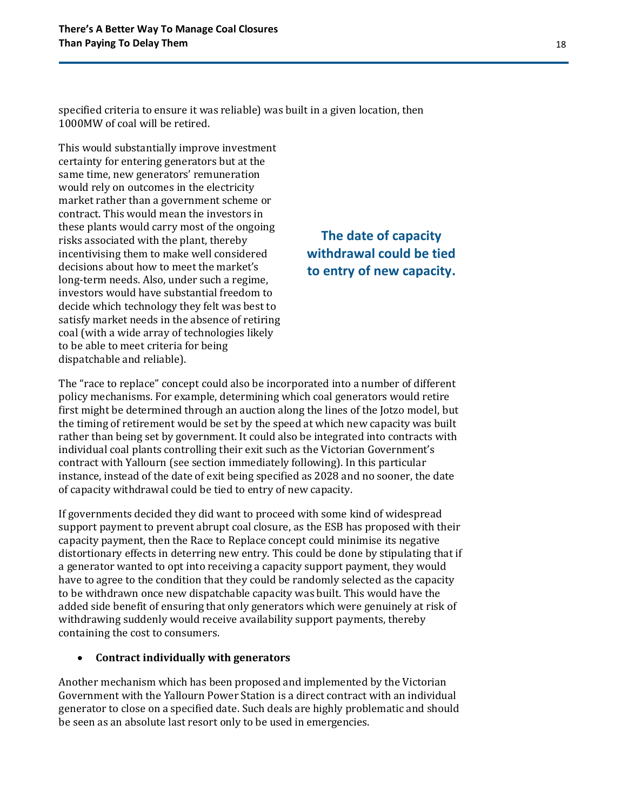specified criteria to ensure it was reliable) was built in a given location, then 1000MW of coal will be retired.

This would substantially improve investment certainty for entering generators but at the same time, new generators' remuneration would rely on outcomes in the electricity market rather than a government scheme or contract. This would mean the investors in these plants would carry most of the ongoing risks associated with the plant, thereby incentivising them to make well considered decisions about how to meet the market's long-term needs. Also, under such a regime, investors would have substantial freedom to decide which technology they felt was best to satisfy market needs in the absence of retiring coal (with a wide array of technologies likely to be able to meet criteria for being dispatchable and reliable).

### **The date of capacity withdrawal could be tied to entry of new capacity.**

The "race to replace" concept could also be incorporated into a number of different policy mechanisms. For example, determining which coal generators would retire first might be determined through an auction along the lines of the Jotzo model, but the timing of retirement would be set by the speed at which new capacity was built rather than being set by government. It could also be integrated into contracts with individual coal plants controlling their exit such as the Victorian Government's contract with Yallourn (see section immediately following). In this particular instance, instead of the date of exit being specified as 2028 and no sooner, the date of capacity withdrawal could be tied to entry of new capacity.

If governments decided they did want to proceed with some kind of widespread support payment to prevent abrupt coal closure, as the ESB has proposed with their capacity payment, then the Race to Replace concept could minimise its negative distortionary effects in deterring new entry. This could be done by stipulating that if a generator wanted to opt into receiving a capacity support payment, they would have to agree to the condition that they could be randomly selected as the capacity to be withdrawn once new dispatchable capacity was built. This would have the added side benefit of ensuring that only generators which were genuinely at risk of withdrawing suddenly would receive availability support payments, thereby containing the cost to consumers.

#### • **Contract individually with generators**

Another mechanism which has been proposed and implemented by the Victorian Government with the Yallourn Power Station is a direct contract with an individual generator to close on a specified date. Such deals are highly problematic and should be seen as an absolute last resort only to be used in emergencies.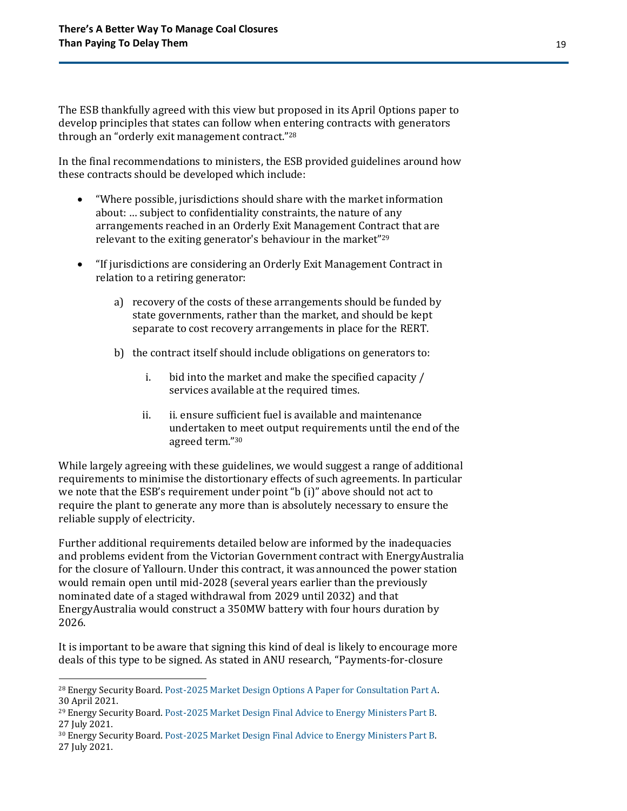The ESB thankfully agreed with this view but proposed in its April Options paper to develop principles that states can follow when entering contracts with generators through an "orderly exit management contract."<sup>28</sup>

In the final recommendations to ministers, the ESB provided guidelines around how these contracts should be developed which include:

- "Where possible, jurisdictions should share with the market information about: … subject to confidentiality constraints, the nature of any arrangements reached in an Orderly Exit Management Contract that are relevant to the exiting generator's behaviour in the market"<sup>29</sup>
- "If jurisdictions are considering an Orderly Exit Management Contract in relation to a retiring generator:
	- a) recovery of the costs of these arrangements should be funded by state governments, rather than the market, and should be kept separate to cost recovery arrangements in place for the RERT.
	- b) the contract itself should include obligations on generators to:
		- i. bid into the market and make the specified capacity / services available at the required times.
		- ii. ii. ensure sufficient fuel is available and maintenance undertaken to meet output requirements until the end of the agreed term."<sup>30</sup>

While largely agreeing with these guidelines, we would suggest a range of additional requirements to minimise the distortionary effects of such agreements. In particular we note that the ESB's requirement under point "b (i)" above should not act to require the plant to generate any more than is absolutely necessary to ensure the reliable supply of electricity.

Further additional requirements detailed below are informed by the inadequacies and problems evident from the Victorian Government contract with EnergyAustralia for the closure of Yallourn. Under this contract, it was announced the power station would remain open until mid-2028 (several years earlier than the previously nominated date of a staged withdrawal from 2029 until 2032) and that EnergyAustralia would construct a 350MW battery with four hours duration by 2026.

It is important to be aware that signing this kind of deal is likely to encourage more deals of this type to be signed. As stated in ANU research, "Payments-for-closure

<sup>28</sup> Energy Security Board[. Post-2025 Market Design Options A Paper for Consultation Part A.](https://esb-post2025-market-design.aemc.gov.au/32572/1619564199-part-a-p2025-march-paper-esb-final-for-publication-30-april-2021.pdf) 30 April 2021.

<sup>29</sup> Energy Security Board[. Post-2025 Market Design Final Advice to Energy Ministers Part B.](https://esb-post2025-market-design.aemc.gov.au/32572/1629945809-post-2025-market-design-final-advice-to-energy-ministers-part-b.pdf)  27 July 2021.

<sup>30</sup> Energy Security Board[. Post-2025 Market Design Final Advice to Energy Ministers Part B.](https://esb-post2025-market-design.aemc.gov.au/32572/1629945809-post-2025-market-design-final-advice-to-energy-ministers-part-b.pdf)  27 July 2021.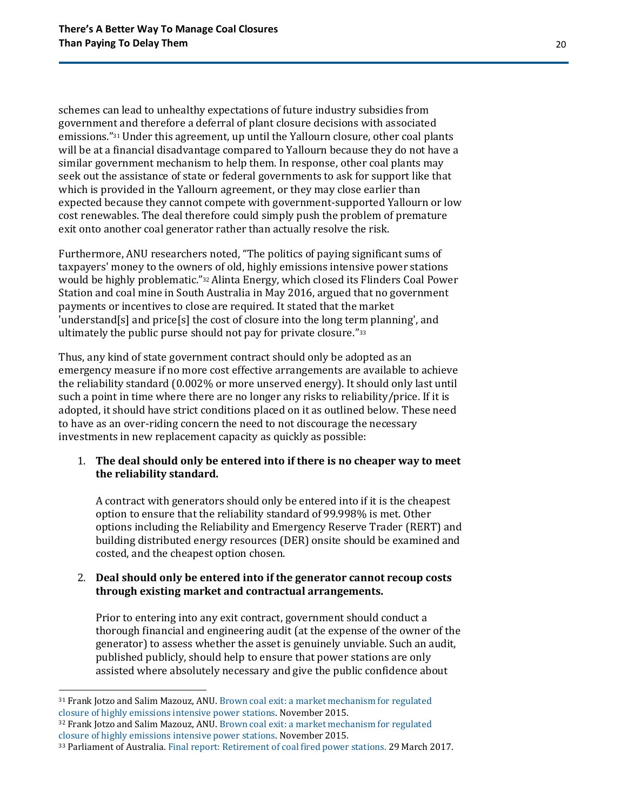schemes can lead to unhealthy expectations of future industry subsidies from government and therefore a deferral of plant closure decisions with associated emissions."<sup>31</sup> Under this agreement, up until the Yallourn closure, other coal plants will be at a financial disadvantage compared to Yallourn because they do not have a similar government mechanism to help them. In response, other coal plants may seek out the assistance of state or federal governments to ask for support like that which is provided in the Yallourn agreement, or they may close earlier than expected because they cannot compete with government-supported Yallourn or low cost renewables. The deal therefore could simply push the problem of premature exit onto another coal generator rather than actually resolve the risk.

Furthermore, ANU researchers noted, "The politics of paying significant sums of taxpayers' money to the owners of old, highly emissions intensive power stations would be highly problematic."<sup>32</sup> Alinta Energy, which closed its Flinders Coal Power Station and coal mine in South Australia in May 2016, argued that no government payments or incentives to close are required. It stated that the market 'understand[s] and price[s] the cost of closure into the long term planning', and ultimately the public purse should not pay for private closure."<sup>33</sup>

Thus, any kind of state government contract should only be adopted as an emergency measure if no more cost effective arrangements are available to achieve the reliability standard (0.002% or more unserved energy). It should only last until such a point in time where there are no longer any risks to reliability/price. If it is adopted, it should have strict conditions placed on it as outlined below. These need to have as an over-riding concern the need to not discourage the necessary investments in new replacement capacity as quickly as possible:

#### 1. **The deal should only be entered into if there is no cheaper way to meet the reliability standard.**

A contract with generators should only be entered into if it is the cheapest option to ensure that the reliability standard of 99.998% is met. Other options including the Reliability and Emergency Reserve Trader (RERT) and building distributed energy resources (DER) onsite should be examined and costed, and the cheapest option chosen.

### 2. **Deal should only be entered into if the generator cannot recoup costs through existing market and contractual arrangements.**

Prior to entering into any exit contract, government should conduct a thorough financial and engineering audit (at the expense of the owner of the generator) to assess whether the asset is genuinely unviable. Such an audit, published publicly, should help to ensure that power stations are only assisted where absolutely necessary and give the public confidence about

<sup>31</sup> Frank Jotzo and Salim Mazouz, ANU. [Brown coal exit: a market mechanism for regulated](https://ccep.crawford.anu.edu.au/sites/default/files/publication/ccep_crawford_anu_edu_au/2015-11/ccep1510.pdf)  [closure of highly emissions intensive power](https://ccep.crawford.anu.edu.au/sites/default/files/publication/ccep_crawford_anu_edu_au/2015-11/ccep1510.pdf) stations. November 2015.

<sup>32</sup> Frank Jotzo and Salim Mazouz, ANU. [Brown coal exit: a market mechanism for regulated](https://ccep.crawford.anu.edu.au/sites/default/files/publication/ccep_crawford_anu_edu_au/2015-11/ccep1510.pdf)  [closure of highly emissions intensive power stations.](https://ccep.crawford.anu.edu.au/sites/default/files/publication/ccep_crawford_anu_edu_au/2015-11/ccep1510.pdf) November 2015.

<sup>33</sup> Parliament of Australia[. Final report: Retirement of coal fired power stations.](https://www.aph.gov.au/Parliamentary_Business/Committees/Senate/Environment_and_Communications/Coal_fired_power_stations/Final_Report) 29 March 2017.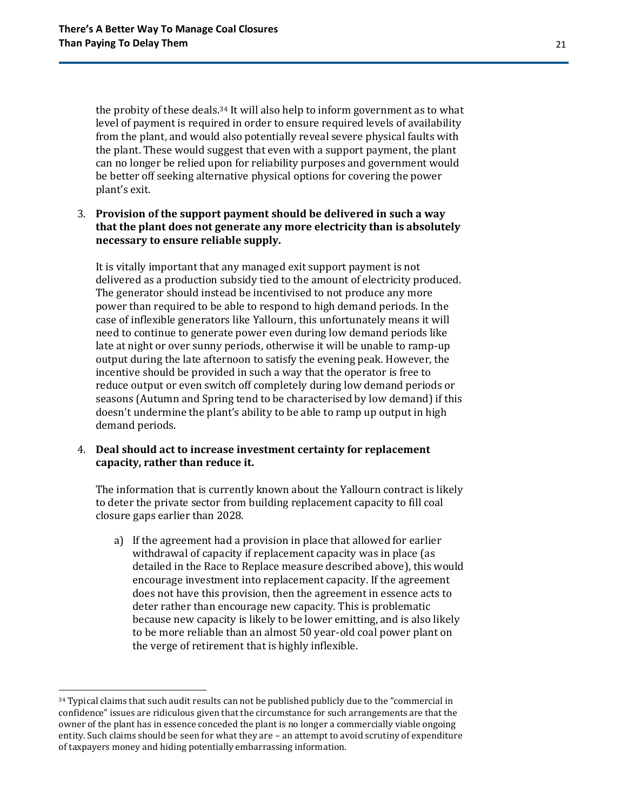the probity of these deals.<sup>34</sup> It will also help to inform government as to what level of payment is required in order to ensure required levels of availability from the plant, and would also potentially reveal severe physical faults with the plant. These would suggest that even with a support payment, the plant can no longer be relied upon for reliability purposes and government would be better off seeking alternative physical options for covering the power plant's exit.

#### 3. **Provision of the support payment should be delivered in such a way that the plant does not generate any more electricity than is absolutely necessary to ensure reliable supply.**

It is vitally important that any managed exit support payment is not delivered as a production subsidy tied to the amount of electricity produced. The generator should instead be incentivised to not produce any more power than required to be able to respond to high demand periods. In the case of inflexible generators like Yallourn, this unfortunately means it will need to continue to generate power even during low demand periods like late at night or over sunny periods, otherwise it will be unable to ramp-up output during the late afternoon to satisfy the evening peak. However, the incentive should be provided in such a way that the operator is free to reduce output or even switch off completely during low demand periods or seasons (Autumn and Spring tend to be characterised by low demand) if this doesn't undermine the plant's ability to be able to ramp up output in high demand periods.

#### 4. **Deal should act to increase investment certainty for replacement capacity, rather than reduce it.**

The information that is currently known about the Yallourn contract is likely to deter the private sector from building replacement capacity to fill coal closure gaps earlier than 2028.

a) If the agreement had a provision in place that allowed for earlier withdrawal of capacity if replacement capacity was in place (as detailed in the Race to Replace measure described above), this would encourage investment into replacement capacity. If the agreement does not have this provision, then the agreement in essence acts to deter rather than encourage new capacity. This is problematic because new capacity is likely to be lower emitting, and is also likely to be more reliable than an almost 50 year-old coal power plant on the verge of retirement that is highly inflexible.

<sup>&</sup>lt;sup>34</sup> Typical claims that such audit results can not be published publicly due to the "commercial in confidence" issues are ridiculous given that the circumstance for such arrangements are that the owner of the plant has in essence conceded the plant is no longer a commercially viable ongoing entity. Such claims should be seen for what they are – an attempt to avoid scrutiny of expenditure of taxpayers money and hiding potentially embarrassing information.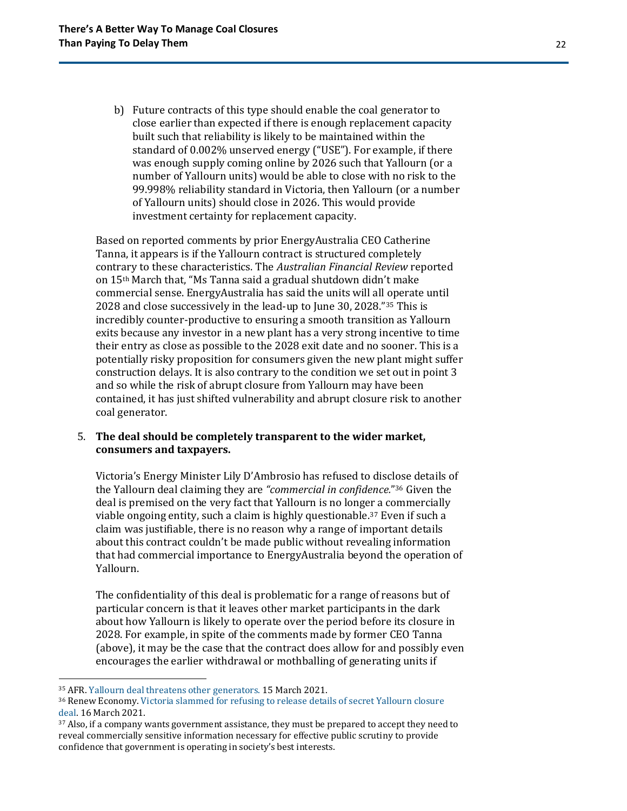b) Future contracts of this type should enable the coal generator to close earlier than expected if there is enough replacement capacity built such that reliability is likely to be maintained within the standard of 0.002% unserved energy ("USE"). For example, if there was enough supply coming online by 2026 such that Yallourn (or a number of Yallourn units) would be able to close with no risk to the 99.998% reliability standard in Victoria, then Yallourn (or a number of Yallourn units) should close in 2026. This would provide investment certainty for replacement capacity.

Based on reported comments by prior EnergyAustralia CEO Catherine Tanna, it appears is if the Yallourn contract is structured completely contrary to these characteristics. The *Australian Financial Review* reported on 15th March that, "Ms Tanna said a gradual shutdown didn't make commercial sense. EnergyAustralia has said the units will all operate until 2028 and close successively in the lead-up to June 30, 2028." <sup>35</sup> This is incredibly counter-productive to ensuring a smooth transition as Yallourn exits because any investor in a new plant has a very strong incentive to time their entry as close as possible to the 2028 exit date and no sooner. This is a potentially risky proposition for consumers given the new plant might suffer construction delays. It is also contrary to the condition we set out in point 3 and so while the risk of abrupt closure from Yallourn may have been contained, it has just shifted vulnerability and abrupt closure risk to another coal generator.

#### 5. **The deal should be completely transparent to the wider market, consumers and taxpayers.**

Victoria's Energy Minister Lily D'Ambrosio has refused to disclose details of the Yallourn deal claiming they are *"commercial in confidence.*" <sup>36</sup> Given the deal is premised on the very fact that Yallourn is no longer a commercially viable ongoing entity, such a claim is highly questionable. <sup>37</sup> Even if such a claim was justifiable, there is no reason why a range of important details about this contract couldn't be made public without revealing information that had commercial importance to EnergyAustralia beyond the operation of Yallourn.

The confidentiality of this deal is problematic for a range of reasons but of particular concern is that it leaves other market participants in the dark about how Yallourn is likely to operate over the period before its closure in 2028. For example, in spite of the comments made by former CEO Tanna (above), it may be the case that the contract does allow for and possibly even encourages the earlier withdrawal or mothballing of generating units if

<sup>35</sup> AFR. [Yallourn deal threatens other generators.](https://www.afr.com/companies/energy/yallourn-deal-further-distorts-power-market-20210315-p57atw) 15 March 2021.

<sup>36</sup> Renew Economy. [Victoria slammed for refusing to release details of secret Yallourn closure](https://reneweconomy.com.au/victoria-slammed-for-refusing-to-release-details-of-secret-yallourn-closure-deal/)  [deal.](https://reneweconomy.com.au/victoria-slammed-for-refusing-to-release-details-of-secret-yallourn-closure-deal/) 16 March 2021.

<sup>&</sup>lt;sup>37</sup> Also, if a company wants government assistance, they must be prepared to accept they need to reveal commercially sensitive information necessary for effective public scrutiny to provide confidence that government is operating in society's best interests.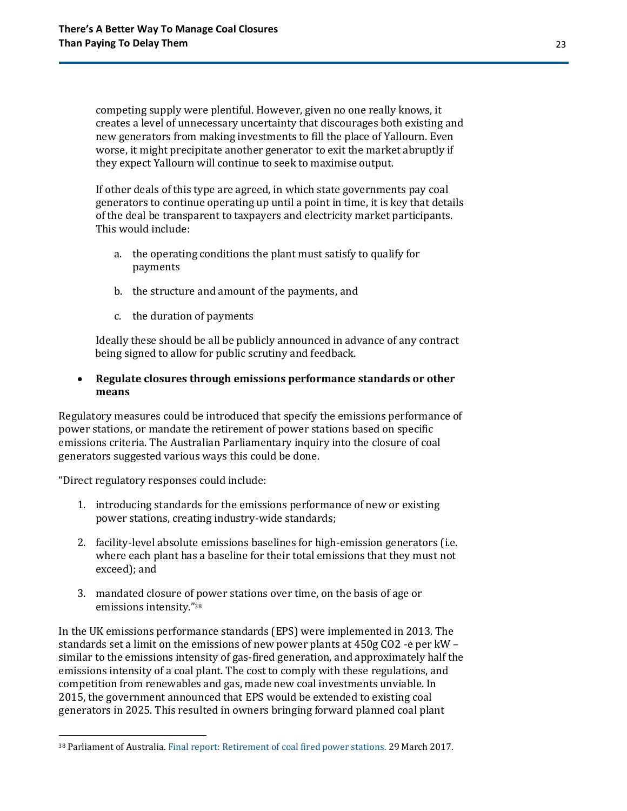competing supply were plentiful. However, given no one really knows, it creates a level of unnecessary uncertainty that discourages both existing and new generators from making investments to fill the place of Yallourn. Even worse, it might precipitate another generator to exit the market abruptly if they expect Yallourn will continue to seek to maximise output.

If other deals of this type are agreed, in which state governments pay coal generators to continue operating up until a point in time, it is key that details of the deal be transparent to taxpayers and electricity market participants. This would include:

- a. the operating conditions the plant must satisfy to qualify for payments
- b. the structure and amount of the payments, and
- c. the duration of payments

Ideally these should be all be publicly announced in advance of any contract being signed to allow for public scrutiny and feedback.

#### • **Regulate closures through emissions performance standards or other means**

Regulatory measures could be introduced that specify the emissions performance of power stations, or mandate the retirement of power stations based on specific emissions criteria. The Australian Parliamentary inquiry into the closure of coal generators suggested various ways this could be done.

"Direct regulatory responses could include:

- 1. introducing standards for the emissions performance of new or existing power stations, creating industry-wide standards;
- 2. facility-level absolute emissions baselines for high-emission generators (i.e. where each plant has a baseline for their total emissions that they must not exceed); and
- 3. mandated closure of power stations over time, on the basis of age or emissions intensity."<sup>38</sup>

In the UK emissions performance standards (EPS) were implemented in 2013. The standards set a limit on the emissions of new power plants at 450g CO2 -e per kW – similar to the emissions intensity of gas-fired generation, and approximately half the emissions intensity of a coal plant. The cost to comply with these regulations, and competition from renewables and gas, made new coal investments unviable. In 2015, the government announced that EPS would be extended to existing coal generators in 2025. This resulted in owners bringing forward planned coal plant

<sup>38</sup> Parliament of Australia[. Final report: Retirement of coal fired power stations.](https://www.aph.gov.au/Parliamentary_Business/Committees/Senate/Environment_and_Communications/Coal_fired_power_stations/Final_Report) 29 March 2017.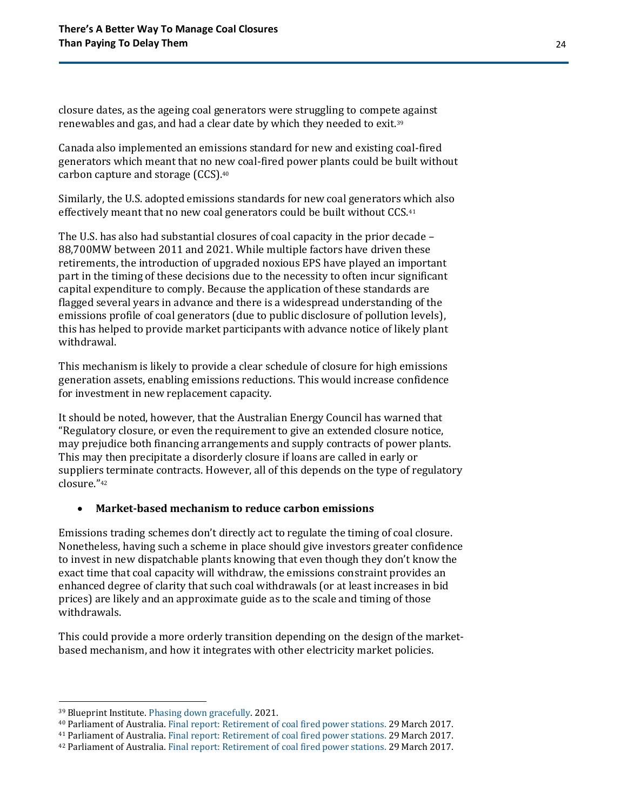closure dates, as the ageing coal generators were struggling to compete against renewables and gas, and had a clear date by which they needed to exit.<sup>39</sup>

Canada also implemented an emissions standard for new and existing coal-fired generators which meant that no new coal-fired power plants could be built without carbon capture and storage (CCS). 40

Similarly, the U.S. adopted emissions standards for new coal generators which also effectively meant that no new coal generators could be built without CCS.<sup>41</sup>

The U.S. has also had substantial closures of coal capacity in the prior decade – 88,700MW between 2011 and 2021. While multiple factors have driven these retirements, the introduction of upgraded noxious EPS have played an important part in the timing of these decisions due to the necessity to often incur significant capital expenditure to comply. Because the application of these standards are flagged several years in advance and there is a widespread understanding of the emissions profile of coal generators (due to public disclosure of pollution levels), this has helped to provide market participants with advance notice of likely plant withdrawal.

This mechanism is likely to provide a clear schedule of closure for high emissions generation assets, enabling emissions reductions. This would increase confidence for investment in new replacement capacity.

It should be noted, however, that the Australian Energy Council has warned that "Regulatory closure, or even the requirement to give an extended closure notice, may prejudice both financing arrangements and supply contracts of power plants. This may then precipitate a disorderly closure if loans are called in early or suppliers terminate contracts. However, all of this depends on the type of regulatory closure."<sup>42</sup>

#### • **Market-based mechanism to reduce carbon emissions**

Emissions trading schemes don't directly act to regulate the timing of coal closure. Nonetheless, having such a scheme in place should give investors greater confidence to invest in new dispatchable plants knowing that even though they don't know the exact time that coal capacity will withdraw, the emissions constraint provides an enhanced degree of clarity that such coal withdrawals (or at least increases in bid prices) are likely and an approximate guide as to the scale and timing of those withdrawals.

This could provide a more orderly transition depending on the design of the marketbased mechanism, and how it integrates with other electricity market policies.

<sup>39</sup> Blueprint Institute[. Phasing down gracefully.](https://blueprintinstitute.s3-ap-southeast-2.amazonaws.com/PhasingDownGracefully_FINAL.pdf) 2021.

<sup>40</sup> Parliament of Australia[. Final report: Retirement of coal fired power stations.](https://www.aph.gov.au/Parliamentary_Business/Committees/Senate/Environment_and_Communications/Coal_fired_power_stations/Final_Report) 29 March 2017.

<sup>41</sup> Parliament of Australia[. Final report: Retirement of coal fired power stations.](https://www.aph.gov.au/Parliamentary_Business/Committees/Senate/Environment_and_Communications/Coal_fired_power_stations/Final_Report) 29 March 2017.

<sup>42</sup> Parliament of Australia[. Final report: Retirement of coal fired power stations.](https://www.aph.gov.au/Parliamentary_Business/Committees/Senate/Environment_and_Communications/Coal_fired_power_stations/Final_Report) 29 March 2017.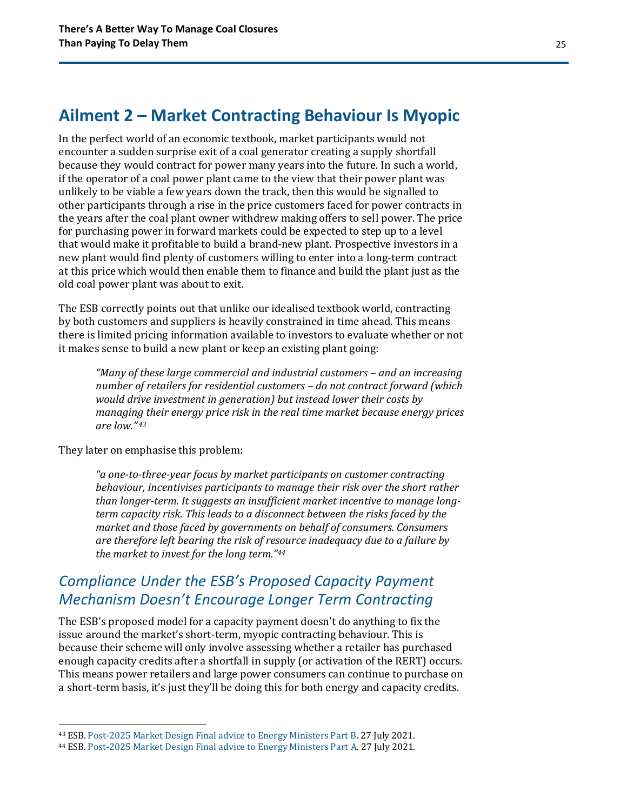### <span id="page-24-0"></span>**Ailment 2 – Market Contracting Behaviour Is Myopic**

In the perfect world of an economic textbook, market participants would not encounter a sudden surprise exit of a coal generator creating a supply shortfall because they would contract for power many years into the future. In such a world, if the operator of a coal power plant came to the view that their power plant was unlikely to be viable a few years down the track, then this would be signalled to other participants through a rise in the price customers faced for power contracts in the years after the coal plant owner withdrew making offers to sell power. The price for purchasing power in forward markets could be expected to step up to a level that would make it profitable to build a brand-new plant. Prospective investors in a new plant would find plenty of customers willing to enter into a long-term contract at this price which would then enable them to finance and build the plant just as the old coal power plant was about to exit.

The ESB correctly points out that unlike our idealised textbook world, contracting by both customers and suppliers is heavily constrained in time ahead. This means there is limited pricing information available to investors to evaluate whether or not it makes sense to build a new plant or keep an existing plant going:

*"Many of these large commercial and industrial customers – and an increasing number of retailers for residential customers – do not contract forward (which would drive investment in generation) but instead lower their costs by managing their energy price risk in the real time market because energy prices are low." <sup>43</sup>*

They later on emphasise this problem:

*"a one-to-three-year focus by market participants on customer contracting behaviour, incentivises participants to manage their risk over the short rather than longer-term. It suggests an insufficient market incentive to manage longterm capacity risk. This leads to a disconnect between the risks faced by the market and those faced by governments on behalf of consumers. Consumers are therefore left bearing the risk of resource inadequacy due to a failure by the market to invest for the long term."<sup>44</sup>*

### *Compliance Under the ESB's Proposed Capacity Payment Mechanism Doesn't Encourage Longer Term Contracting*

The ESB's proposed model for a capacity payment doesn't do anything to fix the issue around the market's short-term, myopic contracting behaviour. This is because their scheme will only involve assessing whether a retailer has purchased enough capacity credits after a shortfall in supply (or activation of the RERT) occurs. This means power retailers and large power consumers can continue to purchase on a short-term basis, it's just they'll be doing this for both energy and capacity credits.

<sup>43</sup> ESB. [Post-2025 Market Design Final advice to Energy Ministers Part B.](https://esb-post2025-market-design.aemc.gov.au/32572/1629945809-post-2025-market-design-final-advice-to-energy-ministers-part-b.pdf) 27 July 2021.

<sup>44</sup> ESB. [Post-2025 Market Design Final advice to Energy Ministers Part A.](https://energyministers.gov.au/sites/prod.energycouncil/files/Post%202025%20Market%20Design%20Final%20Advice%20to%20Energy%20Ministers%20Part%20A.pdf) 27 July 2021.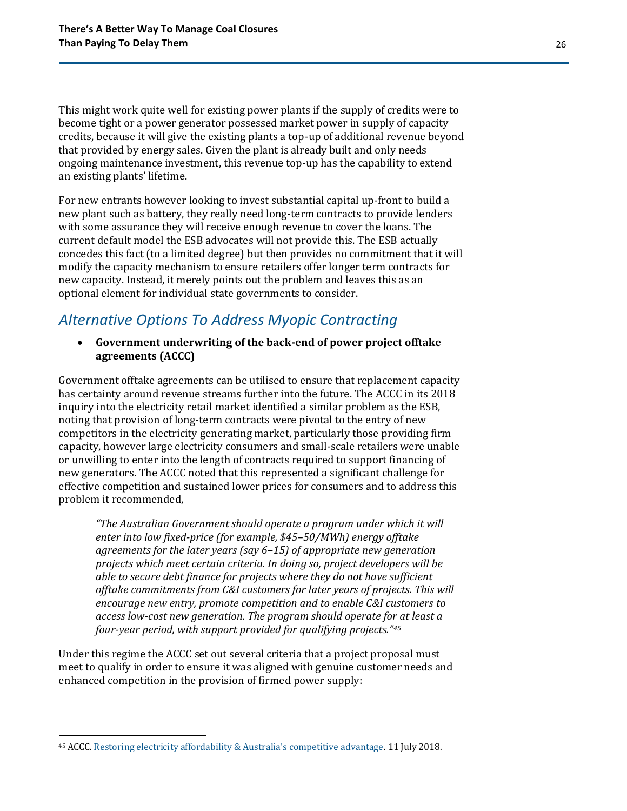This might work quite well for existing power plants if the supply of credits were to become tight or a power generator possessed market power in supply of capacity credits, because it will give the existing plants a top-up of additional revenue beyond that provided by energy sales. Given the plant is already built and only needs ongoing maintenance investment, this revenue top-up has the capability to extend an existing plants' lifetime.

For new entrants however looking to invest substantial capital up-front to build a new plant such as battery, they really need long-term contracts to provide lenders with some assurance they will receive enough revenue to cover the loans. The current default model the ESB advocates will not provide this. The ESB actually concedes this fact (to a limited degree) but then provides no commitment that it will modify the capacity mechanism to ensure retailers offer longer term contracts for new capacity. Instead, it merely points out the problem and leaves this as an optional element for individual state governments to consider.

### *Alternative Options To Address Myopic Contracting*

• **Government underwriting of the back-end of power project offtake agreements (ACCC)**

Government offtake agreements can be utilised to ensure that replacement capacity has certainty around revenue streams further into the future. The ACCC in its 2018 inquiry into the electricity retail market identified a similar problem as the ESB, noting that provision of long-term contracts were pivotal to the entry of new competitors in the electricity generating market, particularly those providing firm capacity, however large electricity consumers and small-scale retailers were unable or unwilling to enter into the length of contracts required to support financing of new generators. The ACCC noted that this represented a significant challenge for effective competition and sustained lower prices for consumers and to address this problem it recommended,

*"The Australian Government should operate a program under which it will enter into low fixed-price (for example, \$45–50/MWh) energy offtake agreements for the later years (say 6–15) of appropriate new generation projects which meet certain criteria. In doing so, project developers will be able to secure debt finance for projects where they do not have sufficient offtake commitments from C&I customers for later years of projects. This will encourage new entry, promote competition and to enable C&I customers to access low-cost new generation. The program should operate for at least a four-year period, with support provided for qualifying projects."<sup>45</sup>*

Under this regime the ACCC set out several criteria that a project proposal must meet to qualify in order to ensure it was aligned with genuine customer needs and enhanced competition in the provision of firmed power supply:

<sup>45</sup> ACCC. [Restoring electricity affordability & Australia's competitive advantage.](https://www.accc.gov.au/publications/restoring-electricity-affordability-australias-competitive-advantage) 11 July 2018.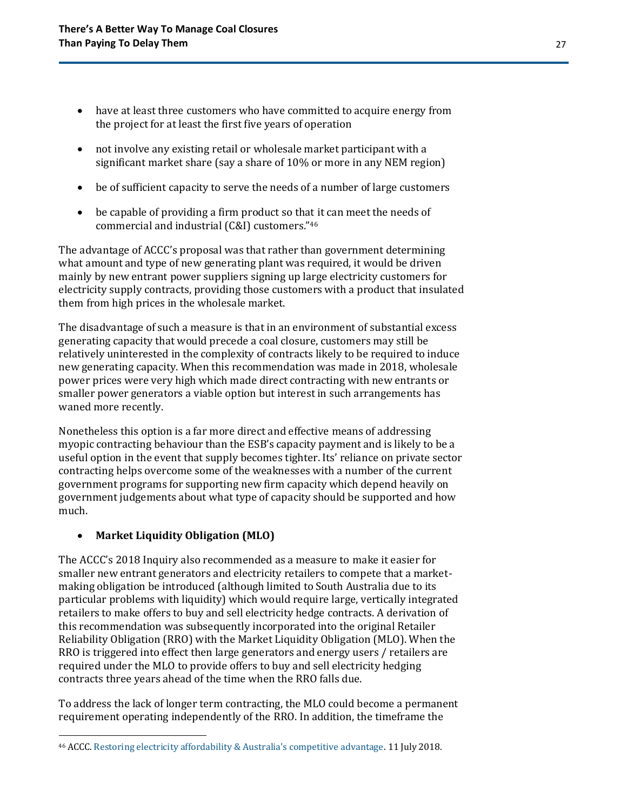- have at least three customers who have committed to acquire energy from the project for at least the first five years of operation
- not involve any existing retail or wholesale market participant with a significant market share (say a share of 10% or more in any NEM region)
- be of sufficient capacity to serve the needs of a number of large customers
- be capable of providing a firm product so that it can meet the needs of commercial and industrial (C&I) customers."<sup>46</sup>

The advantage of ACCC's proposal was that rather than government determining what amount and type of new generating plant was required, it would be driven mainly by new entrant power suppliers signing up large electricity customers for electricity supply contracts, providing those customers with a product that insulated them from high prices in the wholesale market.

The disadvantage of such a measure is that in an environment of substantial excess generating capacity that would precede a coal closure, customers may still be relatively uninterested in the complexity of contracts likely to be required to induce new generating capacity. When this recommendation was made in 2018, wholesale power prices were very high which made direct contracting with new entrants or smaller power generators a viable option but interest in such arrangements has waned more recently.

Nonetheless this option is a far more direct and effective means of addressing myopic contracting behaviour than the ESB's capacity payment and is likely to be a useful option in the event that supply becomes tighter. Its' reliance on private sector contracting helps overcome some of the weaknesses with a number of the current government programs for supporting new firm capacity which depend heavily on government judgements about what type of capacity should be supported and how much.

### • **Market Liquidity Obligation (MLO)**

The ACCC's 2018 Inquiry also recommended as a measure to make it easier for smaller new entrant generators and electricity retailers to compete that a marketmaking obligation be introduced (although limited to South Australia due to its particular problems with liquidity) which would require large, vertically integrated retailers to make offers to buy and sell electricity hedge contracts. A derivation of this recommendation was subsequently incorporated into the original Retailer Reliability Obligation (RRO) with the Market Liquidity Obligation (MLO). When the RRO is triggered into effect then large generators and energy users / retailers are required under the MLO to provide offers to buy and sell electricity hedging contracts three years ahead of the time when the RRO falls due.

To address the lack of longer term contracting, the MLO could become a permanent requirement operating independently of the RRO. In addition, the timeframe the

<sup>46</sup> ACCC. [Restoring electricity affordability & Australia's competitive advantage.](https://www.accc.gov.au/publications/restoring-electricity-affordability-australias-competitive-advantage) 11 July 2018.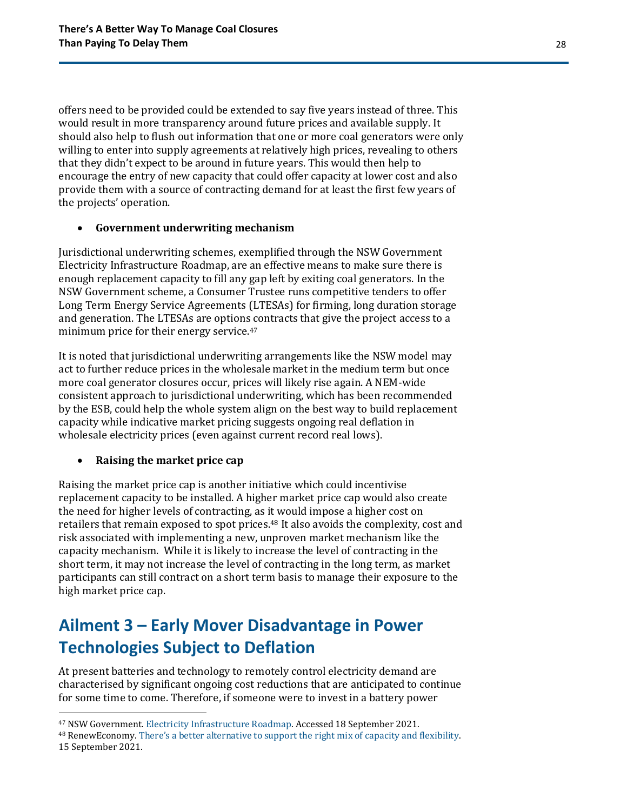offers need to be provided could be extended to say five years instead of three. This would result in more transparency around future prices and available supply. It should also help to flush out information that one or more coal generators were only willing to enter into supply agreements at relatively high prices, revealing to others that they didn't expect to be around in future years. This would then help to encourage the entry of new capacity that could offer capacity at lower cost and also provide them with a source of contracting demand for at least the first few years of the projects' operation.

#### • **Government underwriting mechanism**

Jurisdictional underwriting schemes, exemplified through the NSW Government Electricity Infrastructure Roadmap, are an effective means to make sure there is enough replacement capacity to fill any gap left by exiting coal generators. In the NSW Government scheme, a Consumer Trustee runs competitive tenders to offer Long Term Energy Service Agreements (LTESAs) for firming, long duration storage and generation. The LTESAs are options contracts that give the project access to a minimum price for their energy service.<sup>47</sup>

It is noted that jurisdictional underwriting arrangements like the NSW model may act to further reduce prices in the wholesale market in the medium term but once more coal generator closures occur, prices will likely rise again. A NEM-wide consistent approach to jurisdictional underwriting, which has been recommended by the ESB, could help the whole system align on the best way to build replacement capacity while indicative market pricing suggests ongoing real deflation in wholesale electricity prices (even against current record real lows).

#### • **Raising the market price cap**

Raising the market price cap is another initiative which could incentivise replacement capacity to be installed. A higher market price cap would also create the need for higher levels of contracting, as it would impose a higher cost on retailers that remain exposed to spot prices.<sup>48</sup> It also avoids the complexity, cost and risk associated with implementing a new, unproven market mechanism like the capacity mechanism. While it is likely to increase the level of contracting in the short term, it may not increase the level of contracting in the long term, as market participants can still contract on a short term basis to manage their exposure to the high market price cap.

## <span id="page-27-0"></span>**Ailment 3 – Early Mover Disadvantage in Power Technologies Subject to Deflation**

At present batteries and technology to remotely control electricity demand are characterised by significant ongoing cost reductions that are anticipated to continue for some time to come. Therefore, if someone were to invest in a battery power

<sup>47</sup> NSW Government. [Electricity Infrastructure Roadmap.](https://www.energy.nsw.gov.au/government-and-regulation/electricity-infrastructure-roadmap) Accessed 18 September 2021.

<sup>48</sup> RenewEconomy. [There's a better alternative to support the right mix of capa](https://reneweconomy.com.au/theres-a-better-alternative-to-support-the-right-mix-of-capacity-and-flexibility/)city and flexibility. 15 September 2021.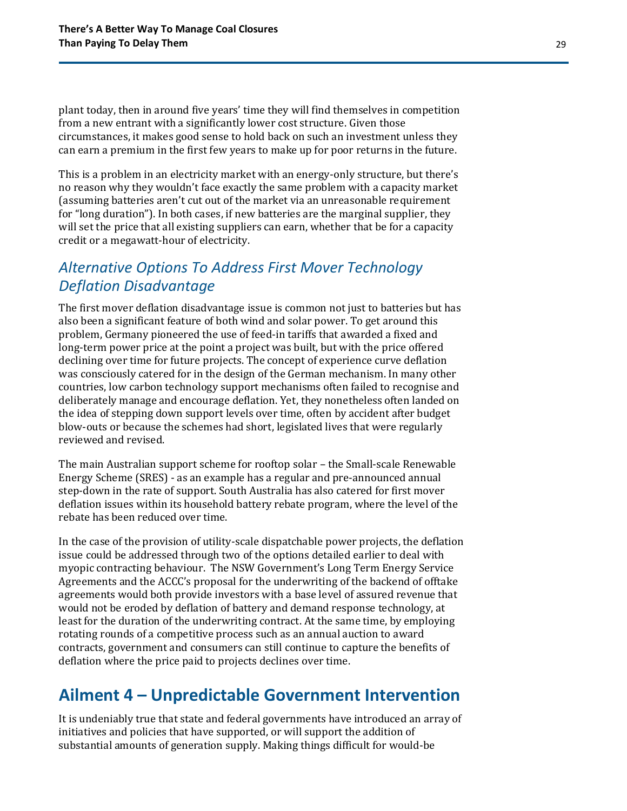plant today, then in around five years' time they will find themselves in competition from a new entrant with a significantly lower cost structure. Given those circumstances, it makes good sense to hold back on such an investment unless they can earn a premium in the first few years to make up for poor returns in the future.

This is a problem in an electricity market with an energy-only structure, but there's no reason why they wouldn't face exactly the same problem with a capacity market (assuming batteries aren't cut out of the market via an unreasonable requirement for "long duration"). In both cases, if new batteries are the marginal supplier, they will set the price that all existing suppliers can earn, whether that be for a capacity credit or a megawatt-hour of electricity.

### *Alternative Options To Address First Mover Technology Deflation Disadvantage*

The first mover deflation disadvantage issue is common not just to batteries but has also been a significant feature of both wind and solar power. To get around this problem, Germany pioneered the use of feed-in tariffs that awarded a fixed and long-term power price at the point a project was built, but with the price offered declining over time for future projects. The concept of experience curve deflation was consciously catered for in the design of the German mechanism. In many other countries, low carbon technology support mechanisms often failed to recognise and deliberately manage and encourage deflation. Yet, they nonetheless often landed on the idea of stepping down support levels over time, often by accident after budget blow-outs or because the schemes had short, legislated lives that were regularly reviewed and revised.

The main Australian support scheme for rooftop solar – the Small-scale Renewable Energy Scheme (SRES) - as an example has a regular and pre-announced annual step-down in the rate of support. South Australia has also catered for first mover deflation issues within its household battery rebate program, where the level of the rebate has been reduced over time.

In the case of the provision of utility-scale dispatchable power projects, the deflation issue could be addressed through two of the options detailed earlier to deal with myopic contracting behaviour. The NSW Government's Long Term Energy Service Agreements and the ACCC's proposal for the underwriting of the backend of offtake agreements would both provide investors with a base level of assured revenue that would not be eroded by deflation of battery and demand response technology, at least for the duration of the underwriting contract. At the same time, by employing rotating rounds of a competitive process such as an annual auction to award contracts, government and consumers can still continue to capture the benefits of deflation where the price paid to projects declines over time.

## <span id="page-28-0"></span>**Ailment 4 – Unpredictable Government Intervention**

It is undeniably true that state and federal governments have introduced an array of initiatives and policies that have supported, or will support the addition of substantial amounts of generation supply. Making things difficult for would-be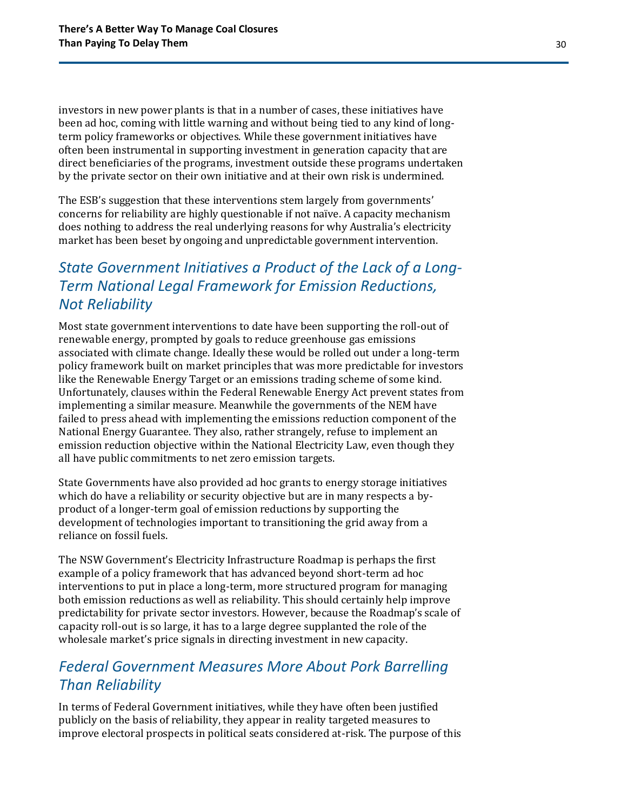investors in new power plants is that in a number of cases, these initiatives have been ad hoc, coming with little warning and without being tied to any kind of longterm policy frameworks or objectives. While these government initiatives have often been instrumental in supporting investment in generation capacity that are direct beneficiaries of the programs, investment outside these programs undertaken by the private sector on their own initiative and at their own risk is undermined.

The ESB's suggestion that these interventions stem largely from governments' concerns for reliability are highly questionable if not naïve. A capacity mechanism does nothing to address the real underlying reasons for why Australia's electricity market has been beset by ongoing and unpredictable government intervention.

### *State Government Initiatives a Product of the Lack of a Long-Term National Legal Framework for Emission Reductions, Not Reliability*

Most state government interventions to date have been supporting the roll-out of renewable energy, prompted by goals to reduce greenhouse gas emissions associated with climate change. Ideally these would be rolled out under a long-term policy framework built on market principles that was more predictable for investors like the Renewable Energy Target or an emissions trading scheme of some kind. Unfortunately, clauses within the Federal Renewable Energy Act prevent states from implementing a similar measure. Meanwhile the governments of the NEM have failed to press ahead with implementing the emissions reduction component of the National Energy Guarantee. They also, rather strangely, refuse to implement an emission reduction objective within the National Electricity Law, even though they all have public commitments to net zero emission targets.

State Governments have also provided ad hoc grants to energy storage initiatives which do have a reliability or security objective but are in many respects a byproduct of a longer-term goal of emission reductions by supporting the development of technologies important to transitioning the grid away from a reliance on fossil fuels.

The NSW Government's Electricity Infrastructure Roadmap is perhaps the first example of a policy framework that has advanced beyond short-term ad hoc interventions to put in place a long-term, more structured program for managing both emission reductions as well as reliability. This should certainly help improve predictability for private sector investors. However, because the Roadmap's scale of capacity roll-out is so large, it has to a large degree supplanted the role of the wholesale market's price signals in directing investment in new capacity.

### *Federal Government Measures More About Pork Barrelling Than Reliability*

In terms of Federal Government initiatives, while they have often been justified publicly on the basis of reliability, they appear in reality targeted measures to improve electoral prospects in political seats considered at-risk. The purpose of this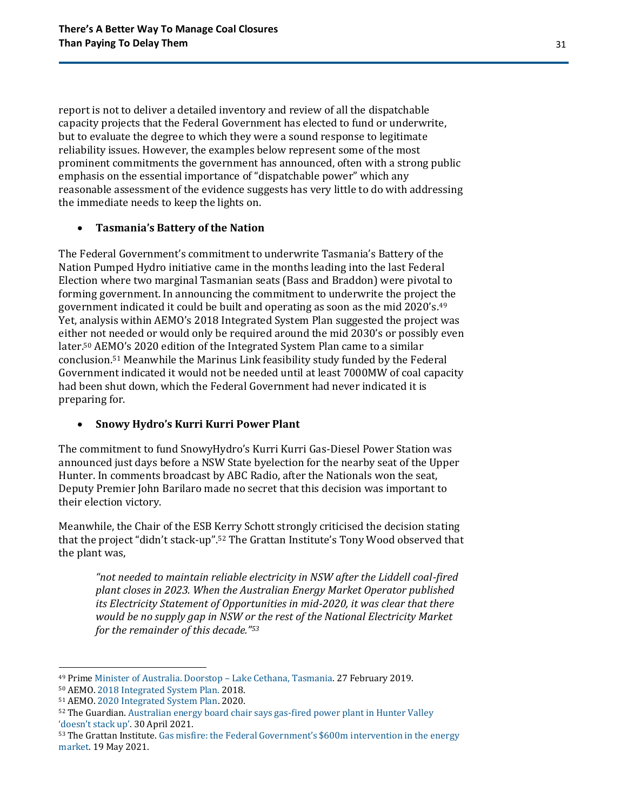report is not to deliver a detailed inventory and review of all the dispatchable capacity projects that the Federal Government has elected to fund or underwrite, but to evaluate the degree to which they were a sound response to legitimate reliability issues. However, the examples below represent some of the most prominent commitments the government has announced, often with a strong public emphasis on the essential importance of "dispatchable power" which any reasonable assessment of the evidence suggests has very little to do with addressing the immediate needs to keep the lights on.

#### • **Tasmania's Battery of the Nation**

The Federal Government's commitment to underwrite Tasmania's Battery of the Nation Pumped Hydro initiative came in the months leading into the last Federal Election where two marginal Tasmanian seats (Bass and Braddon) were pivotal to forming government. In announcing the commitment to underwrite the project the government indicated it could be built and operating as soon as the mid 2020's. 49 Yet, analysis within AEMO's 2018 Integrated System Plan suggested the project was either not needed or would only be required around the mid 2030's or possibly even later.<sup>50</sup> AEMO's 2020 edition of the Integrated System Plan came to a similar conclusion.<sup>51</sup> Meanwhile the Marinus Link feasibility study funded by the Federal Government indicated it would not be needed until at least 7000MW of coal capacity had been shut down, which the Federal Government had never indicated it is preparing for.

#### • **Snowy Hydro's Kurri Kurri Power Plant**

The commitment to fund SnowyHydro's Kurri Kurri Gas-Diesel Power Station was announced just days before a NSW State byelection for the nearby seat of the Upper Hunter. In comments broadcast by ABC Radio, after the Nationals won the seat, Deputy Premier John Barilaro made no secret that this decision was important to their election victory.

Meanwhile, the Chair of the ESB Kerry Schott strongly criticised the decision stating that the project "didn't stack-up".<sup>52</sup> The Grattan Institute's Tony Wood observed that the plant was,

*"not needed to maintain reliable electricity in NSW after the Liddell coal-fired plant closes in 2023. When the Australian Energy Market Operator published its Electricity Statement of Opportunities in mid-2020, it was clear that there would be no supply gap in NSW or the rest of the National Electricity Market for the remainder of this decade."<sup>53</sup>*

<sup>49</sup> Prime [Minister of Australia. Doorstop](https://www.pm.gov.au/media/doorstop-lake-cethana-tasmania) – Lake Cethana, Tasmania. 27 February 2019.

<sup>50</sup> AEMO[. 2018 Integrated System Plan.](https://aemo.com.au/en/energy-systems/major-publications/integrated-system-plan-isp/2018-integrated-system-plan-isp) 2018.

<sup>51</sup> AEMO[. 2020 Integrated System Plan.](https://aemo.com.au/en/energy-systems/major-publications/integrated-system-plan-isp/2020-integrated-system-plan-isp) 2020.

<sup>52</sup> The Guardian[. Australian energy board chair says gas-fired power plant in Hunter Valley](https://www.theguardian.com/environment/2021/apr/30/australian-energy-board-chair-says-gas-fired-power-plant-in-hunter-valley-doesnt-stack-up)  ['doesn't stack up'](https://www.theguardian.com/environment/2021/apr/30/australian-energy-board-chair-says-gas-fired-power-plant-in-hunter-valley-doesnt-stack-up). 30 April 2021.

<sup>53</sup> The Grattan Institute. [Gas misfire: the Federal Government's \\$600m i](https://grattan.edu.au/news/gas-misfire-the-federal-governments-600m-intervention-in-the-energy-market/)ntervention in the energy [market.](https://grattan.edu.au/news/gas-misfire-the-federal-governments-600m-intervention-in-the-energy-market/) 19 May 2021.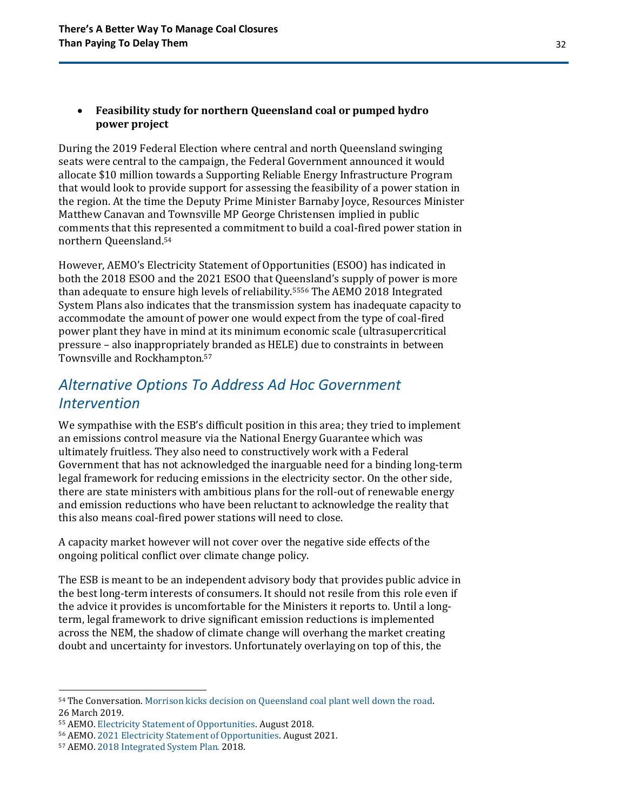#### • **Feasibility study for northern Queensland coal or pumped hydro power project**

During the 2019 Federal Election where central and north Queensland swinging seats were central to the campaign, the Federal Government announced it would allocate \$10 million towards a Supporting Reliable Energy Infrastructure Program that would look to provide support for assessing the feasibility of a power station in the region. At the time the Deputy Prime Minister Barnaby Joyce, Resources Minister Matthew Canavan and Townsville MP George Christensen implied in public comments that this represented a commitment to build a coal-fired power station in northern Queensland.<sup>54</sup>

However, AEMO's Electricity Statement of Opportunities (ESOO) has indicated in both the 2018 ESOO and the 2021 ESOO that Queensland's supply of power is more than adequate to ensure high levels of reliability.<sup>5556</sup> The AEMO 2018 Integrated System Plans also indicates that the transmission system has inadequate capacity to accommodate the amount of power one would expect from the type of coal-fired power plant they have in mind at its minimum economic scale (ultrasupercritical pressure – also inappropriately branded as HELE) due to constraints in between Townsville and Rockhampton.<sup>57</sup>

### *Alternative Options To Address Ad Hoc Government Intervention*

We sympathise with the ESB's difficult position in this area; they tried to implement an emissions control measure via the National Energy Guarantee which was ultimately fruitless. They also need to constructively work with a Federal Government that has not acknowledged the inarguable need for a binding long-term legal framework for reducing emissions in the electricity sector. On the other side, there are state ministers with ambitious plans for the roll-out of renewable energy and emission reductions who have been reluctant to acknowledge the reality that this also means coal-fired power stations will need to close.

A capacity market however will not cover over the negative side effects of the ongoing political conflict over climate change policy.

The ESB is meant to be an independent advisory body that provides public advice in the best long-term interests of consumers. It should not resile from this role even if the advice it provides is uncomfortable for the Ministers it reports to. Until a longterm, legal framework to drive significant emission reductions is implemented across the NEM, the shadow of climate change will overhang the market creating doubt and uncertainty for investors. Unfortunately overlaying on top of this, the

<sup>54</sup> The Conversation. [Morrison kicks decision on Queensland coal plant well down the road.](https://theconversation.com/morrison-kicks-decision-on-queensland-coal-plant-well-down-the-road-114307)  26 March 2019.

<sup>55</sup> AEMO[. Electricity Statement of Opportunities.](https://www.aemo.com.au/-/media/Files/Electricity/NEM/Planning_and_Forecasting/NEM_ESOO/2018/2018-Electricity-Statement-of-Opportunities.pdf) August 2018.

<sup>56</sup> AEMO[. 2021 Electricity Statement of Opportunities.](https://aemo.com.au/-/media/files/electricity/nem/planning_and_forecasting/nem_esoo/2021/2021-nem-esoo.pdf?la=en) August 2021.

<sup>57</sup> AEMO[. 2018 Integrated System Plan.](https://aemo.com.au/en/energy-systems/major-publications/integrated-system-plan-isp/2018-integrated-system-plan-isp) 2018.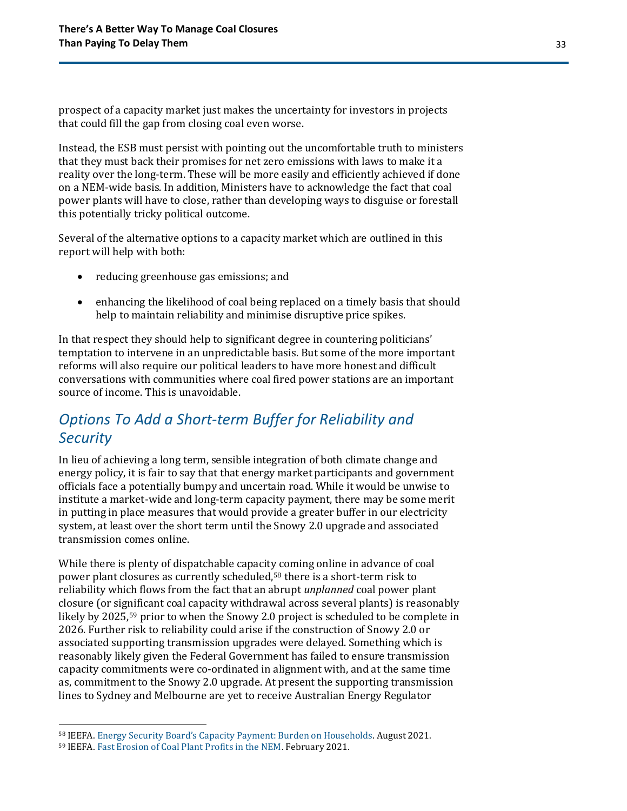prospect of a capacity market just makes the uncertainty for investors in projects that could fill the gap from closing coal even worse.

Instead, the ESB must persist with pointing out the uncomfortable truth to ministers that they must back their promises for net zero emissions with laws to make it a reality over the long-term. These will be more easily and efficiently achieved if done on a NEM-wide basis. In addition, Ministers have to acknowledge the fact that coal power plants will have to close, rather than developing ways to disguise or forestall this potentially tricky political outcome.

Several of the alternative options to a capacity market which are outlined in this report will help with both:

- reducing greenhouse gas emissions; and
- enhancing the likelihood of coal being replaced on a timely basis that should help to maintain reliability and minimise disruptive price spikes.

In that respect they should help to significant degree in countering politicians' temptation to intervene in an unpredictable basis. But some of the more important reforms will also require our political leaders to have more honest and difficult conversations with communities where coal fired power stations are an important source of income. This is unavoidable.

### *Options To Add a Short-term Buffer for Reliability and Security*

In lieu of achieving a long term, sensible integration of both climate change and energy policy, it is fair to say that that energy market participants and government officials face a potentially bumpy and uncertain road. While it would be unwise to institute a market-wide and long-term capacity payment, there may be some merit in putting in place measures that would provide a greater buffer in our electricity system, at least over the short term until the Snowy 2.0 upgrade and associated transmission comes online.

While there is plenty of dispatchable capacity coming online in advance of coal power plant closures as currently scheduled,<sup>58</sup> there is a short-term risk to reliability which flows from the fact that an abrupt *unplanned* coal power plant closure (or significant coal capacity withdrawal across several plants) is reasonably likely by 2025, <sup>59</sup> prior to when the Snowy 2.0 project is scheduled to be complete in 2026. Further risk to reliability could arise if the construction of Snowy 2.0 or associated supporting transmission upgrades were delayed. Something which is reasonably likely given the Federal Government has failed to ensure transmission capacity commitments were co-ordinated in alignment with, and at the same time as, commitment to the Snowy 2.0 upgrade. At present the supporting transmission lines to Sydney and Melbourne are yet to receive Australian Energy Regulator

<sup>58</sup> IEEFA. [Energy Security Board's Capacity Payment: Burden on Households](https://ieefa.org/wp-content/uploads/2021/08/ESB-Proposal-to-Require-Consumers-to-Pay-Generators-a-Capacity-Payment_August-2021.pdf). August 2021.

<sup>59</sup> IEEFA. [Fast Erosion of Coal Plant Profits in the NEM.](https://ieefa.org/wp-content/uploads/2021/02/Coal-Plant-Profitability-Is-Eroding_February-2021.pdf) February 2021.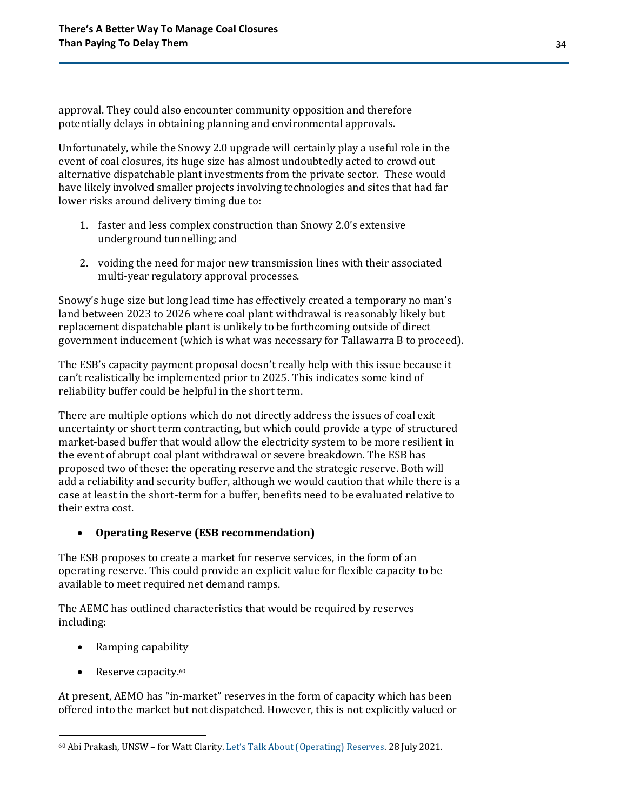approval. They could also encounter community opposition and therefore potentially delays in obtaining planning and environmental approvals.

Unfortunately, while the Snowy 2.0 upgrade will certainly play a useful role in the event of coal closures, its huge size has almost undoubtedly acted to crowd out alternative dispatchable plant investments from the private sector. These would have likely involved smaller projects involving technologies and sites that had far lower risks around delivery timing due to:

- 1. faster and less complex construction than Snowy 2.0's extensive underground tunnelling; and
- 2. voiding the need for major new transmission lines with their associated multi-year regulatory approval processes.

Snowy's huge size but long lead time has effectively created a temporary no man's land between 2023 to 2026 where coal plant withdrawal is reasonably likely but replacement dispatchable plant is unlikely to be forthcoming outside of direct government inducement (which is what was necessary for Tallawarra B to proceed).

The ESB's capacity payment proposal doesn't really help with this issue because it can't realistically be implemented prior to 2025. This indicates some kind of reliability buffer could be helpful in the short term.

There are multiple options which do not directly address the issues of coal exit uncertainty or short term contracting, but which could provide a type of structured market-based buffer that would allow the electricity system to be more resilient in the event of abrupt coal plant withdrawal or severe breakdown. The ESB has proposed two of these: the operating reserve and the strategic reserve. Both will add a reliability and security buffer, although we would caution that while there is a case at least in the short-term for a buffer, benefits need to be evaluated relative to their extra cost.

### • **Operating Reserve (ESB recommendation)**

The ESB proposes to create a market for reserve services, in the form of an operating reserve. This could provide an explicit value for flexible capacity to be available to meet required net demand ramps.

The AEMC has outlined characteristics that would be required by reserves including:

- Ramping capability
- Reserve capacity. 60

At present, AEMO has "in-market" reserves in the form of capacity which has been offered into the market but not dispatched. However, this is not explicitly valued or

<sup>60</sup> Abi Prakash, UNSW – for Watt Clarity. [Let's Talk About \(Operating\) Reserves](https://wattclarity.com.au/articles/2021/07/lets-talk-about-operating-reserves/). 28 July 2021.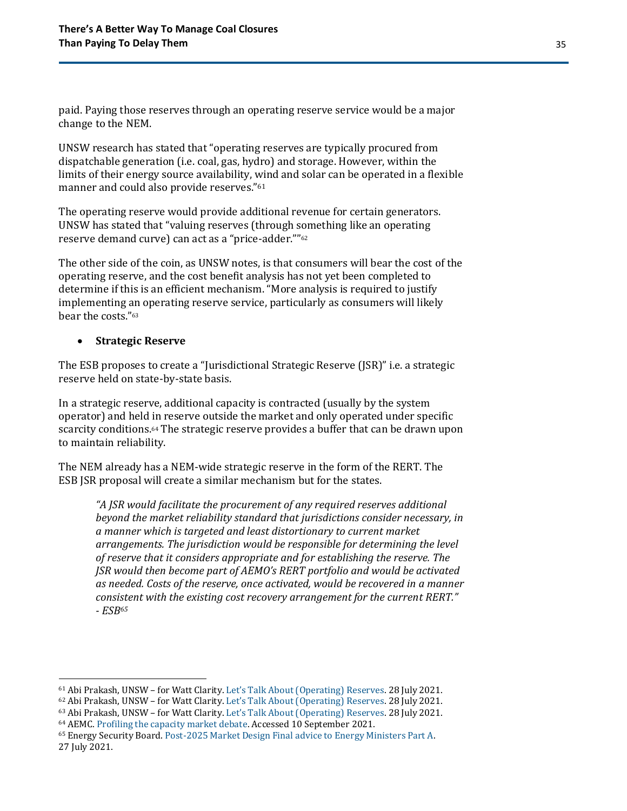paid. Paying those reserves through an operating reserve service would be a major change to the NEM.

UNSW research has stated that "operating reserves are typically procured from dispatchable generation (i.e. coal, gas, hydro) and storage. However, within the limits of their energy source availability, wind and solar can be operated in a flexible manner and could also provide reserves."<sup>61</sup>

The operating reserve would provide additional revenue for certain generators. UNSW has stated that "valuing reserves (through something like an operating reserve demand curve) can act as a "price-adder.""<sup>62</sup>

The other side of the coin, as UNSW notes, is that consumers will bear the cost of the operating reserve, and the cost benefit analysis has not yet been completed to determine if this is an efficient mechanism. "More analysis is required to justify implementing an operating reserve service, particularly as consumers will likely bear the costs."<sup>63</sup>

#### • **Strategic Reserve**

The ESB proposes to create a "Jurisdictional Strategic Reserve (JSR)" i.e. a strategic reserve held on state-by-state basis.

In a strategic reserve, additional capacity is contracted (usually by the system operator) and held in reserve outside the market and only operated under specific scarcity conditions.<sup>64</sup> The strategic reserve provides a buffer that can be drawn upon to maintain reliability.

The NEM already has a NEM-wide strategic reserve in the form of the RERT. The ESB JSR proposal will create a similar mechanism but for the states.

*"A JSR would facilitate the procurement of any required reserves additional beyond the market reliability standard that jurisdictions consider necessary, in a manner which is targeted and least distortionary to current market arrangements. The jurisdiction would be responsible for determining the level of reserve that it considers appropriate and for establishing the reserve. The JSR would then become part of AEMO's RERT portfolio and would be activated as needed. Costs of the reserve, once activated, would be recovered in a manner consistent with the existing cost recovery arrangement for the current RERT." - ESB<sup>65</sup>*

<sup>61</sup> Abi Prakash, UNSW – for Watt Clarity. [Let's Talk About \(Operating\) Reser](https://wattclarity.com.au/articles/2021/07/lets-talk-about-operating-reserves/)ves. 28 July 2021.

<sup>62</sup> Abi Prakash, UNSW – for Watt Clarity. [Let's Talk About \(Operating\) Reserves](https://wattclarity.com.au/articles/2021/07/lets-talk-about-operating-reserves/). 28 July 2021.

<sup>63</sup> Abi Prakash, UNSW – for Watt Clarity. [Let's Talk About \(Operating\) Reserves](https://wattclarity.com.au/articles/2021/07/lets-talk-about-operating-reserves/). 28 July 2021.

<sup>64</sup> AEMC. [Profiling the capacity market debate.](https://www.aemc.gov.au/news-centre/perspectives/economists-corner-profiling-capacity-market-debate) Accessed 10 September 2021.

<sup>65</sup> Energy Security Board[. Post-2025 Market Design Final advice to Energy Ministers Part A.](https://energyministers.gov.au/sites/prod.energycouncil/files/Post%202025%20Market%20Design%20Final%20Advice%20to%20Energy%20Ministers%20Part%20A.pdf)  27 July 2021.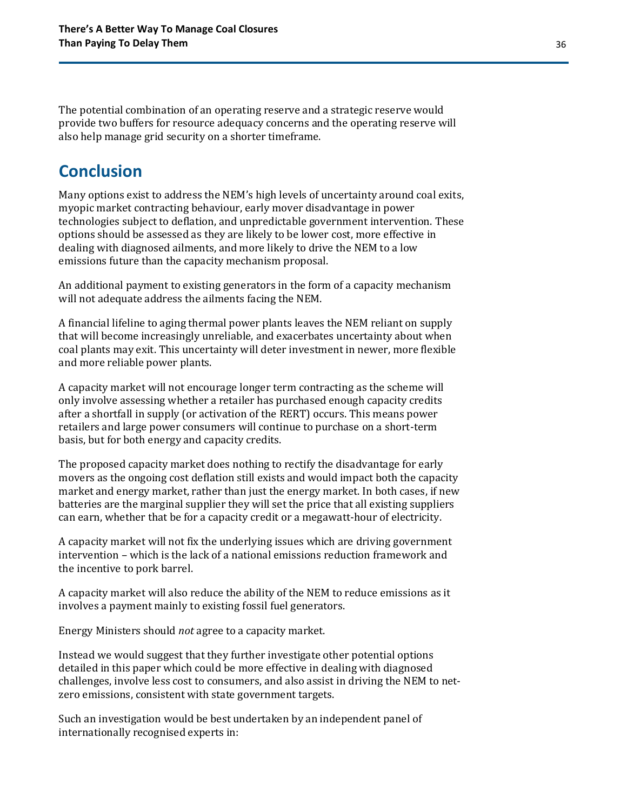The potential combination of an operating reserve and a strategic reserve would provide two buffers for resource adequacy concerns and the operating reserve will also help manage grid security on a shorter timeframe.

## <span id="page-35-0"></span>**Conclusion**

Many options exist to address the NEM's high levels of uncertainty around coal exits, myopic market contracting behaviour, early mover disadvantage in power technologies subject to deflation, and unpredictable government intervention. These options should be assessed as they are likely to be lower cost, more effective in dealing with diagnosed ailments, and more likely to drive the NEM to a low emissions future than the capacity mechanism proposal.

An additional payment to existing generators in the form of a capacity mechanism will not adequate address the ailments facing the NEM.

A financial lifeline to aging thermal power plants leaves the NEM reliant on supply that will become increasingly unreliable, and exacerbates uncertainty about when coal plants may exit. This uncertainty will deter investment in newer, more flexible and more reliable power plants.

A capacity market will not encourage longer term contracting as the scheme will only involve assessing whether a retailer has purchased enough capacity credits after a shortfall in supply (or activation of the RERT) occurs. This means power retailers and large power consumers will continue to purchase on a short-term basis, but for both energy and capacity credits.

The proposed capacity market does nothing to rectify the disadvantage for early movers as the ongoing cost deflation still exists and would impact both the capacity market and energy market, rather than just the energy market. In both cases, if new batteries are the marginal supplier they will set the price that all existing suppliers can earn, whether that be for a capacity credit or a megawatt-hour of electricity.

A capacity market will not fix the underlying issues which are driving government intervention – which is the lack of a national emissions reduction framework and the incentive to pork barrel.

A capacity market will also reduce the ability of the NEM to reduce emissions as it involves a payment mainly to existing fossil fuel generators.

Energy Ministers should *not* agree to a capacity market.

Instead we would suggest that they further investigate other potential options detailed in this paper which could be more effective in dealing with diagnosed challenges, involve less cost to consumers, and also assist in driving the NEM to netzero emissions, consistent with state government targets.

Such an investigation would be best undertaken by an independent panel of internationally recognised experts in: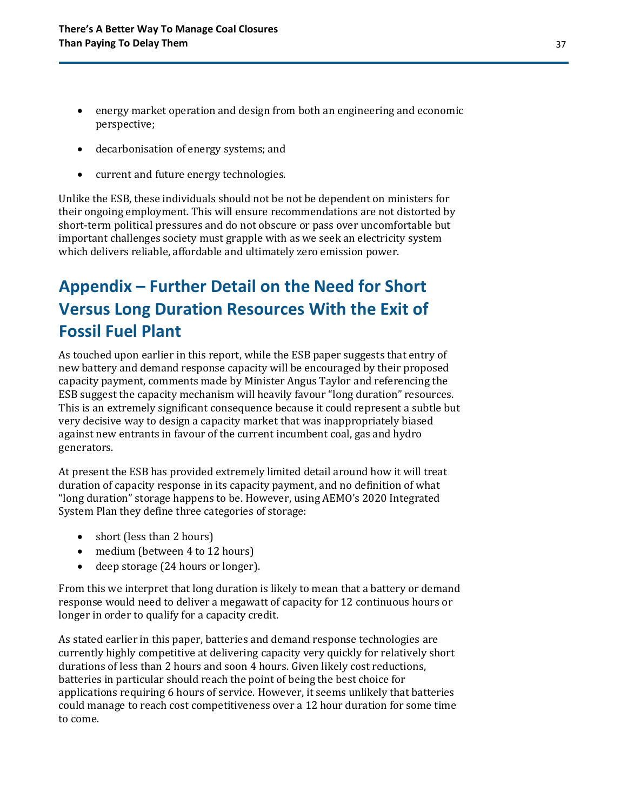- energy market operation and design from both an engineering and economic perspective;
- decarbonisation of energy systems; and
- current and future energy technologies.

Unlike the ESB, these individuals should not be not be dependent on ministers for their ongoing employment. This will ensure recommendations are not distorted by short-term political pressures and do not obscure or pass over uncomfortable but important challenges society must grapple with as we seek an electricity system which delivers reliable, affordable and ultimately zero emission power.

## <span id="page-36-0"></span>**Appendix – Further Detail on the Need for Short Versus Long Duration Resources With the Exit of Fossil Fuel Plant**

As touched upon earlier in this report, while the ESB paper suggests that entry of new battery and demand response capacity will be encouraged by their proposed capacity payment, comments made by Minister Angus Taylor and referencing the ESB suggest the capacity mechanism will heavily favour "long duration" resources. This is an extremely significant consequence because it could represent a subtle but very decisive way to design a capacity market that was inappropriately biased against new entrants in favour of the current incumbent coal, gas and hydro generators.

At present the ESB has provided extremely limited detail around how it will treat duration of capacity response in its capacity payment, and no definition of what "long duration" storage happens to be. However, using AEMO's 2020 Integrated System Plan they define three categories of storage:

- short (less than 2 hours)
- medium (between 4 to 12 hours)
- deep storage (24 hours or longer).

From this we interpret that long duration is likely to mean that a battery or demand response would need to deliver a megawatt of capacity for 12 continuous hours or longer in order to qualify for a capacity credit.

As stated earlier in this paper, batteries and demand response technologies are currently highly competitive at delivering capacity very quickly for relatively short durations of less than 2 hours and soon 4 hours. Given likely cost reductions, batteries in particular should reach the point of being the best choice for applications requiring 6 hours of service. However, it seems unlikely that batteries could manage to reach cost competitiveness over a 12 hour duration for some time to come.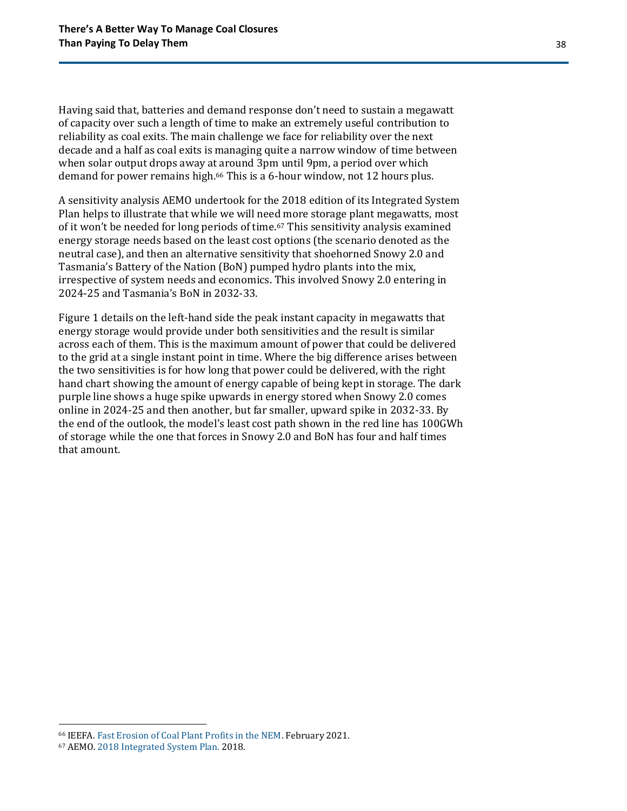Having said that, batteries and demand response don't need to sustain a megawatt of capacity over such a length of time to make an extremely useful contribution to reliability as coal exits. The main challenge we face for reliability over the next decade and a half as coal exits is managing quite a narrow window of time between when solar output drops away at around 3pm until 9pm, a period over which demand for power remains high.<sup>66</sup> This is a 6-hour window, not 12 hours plus.

A sensitivity analysis AEMO undertook for the 2018 edition of its Integrated System Plan helps to illustrate that while we will need more storage plant megawatts, most of it won't be needed for long periods of time.<sup>67</sup> This sensitivity analysis examined energy storage needs based on the least cost options (the scenario denoted as the neutral case), and then an alternative sensitivity that shoehorned Snowy 2.0 and Tasmania's Battery of the Nation (BoN) pumped hydro plants into the mix, irrespective of system needs and economics. This involved Snowy 2.0 entering in 2024-25 and Tasmania's BoN in 2032-33.

Figure 1 details on the left-hand side the peak instant capacity in megawatts that energy storage would provide under both sensitivities and the result is similar across each of them. This is the maximum amount of power that could be delivered to the grid at a single instant point in time. Where the big difference arises between the two sensitivities is for how long that power could be delivered, with the right hand chart showing the amount of energy capable of being kept in storage. The dark purple line shows a huge spike upwards in energy stored when Snowy 2.0 comes online in 2024-25 and then another, but far smaller, upward spike in 2032-33. By the end of the outlook, the model's least cost path shown in the red line has 100GWh of storage while the one that forces in Snowy 2.0 and BoN has four and half times that amount.

<sup>66</sup> IEEFA. [Fast Erosion of Coal Plant Profits in the NEM.](https://ieefa.org/wp-content/uploads/2021/02/Coal-Plant-Profitability-Is-Eroding_February-2021.pdf) February 2021.

<sup>67</sup> AEMO[. 2018 Integrated System Plan.](https://aemo.com.au/en/energy-systems/major-publications/integrated-system-plan-isp/2018-integrated-system-plan-isp) 2018.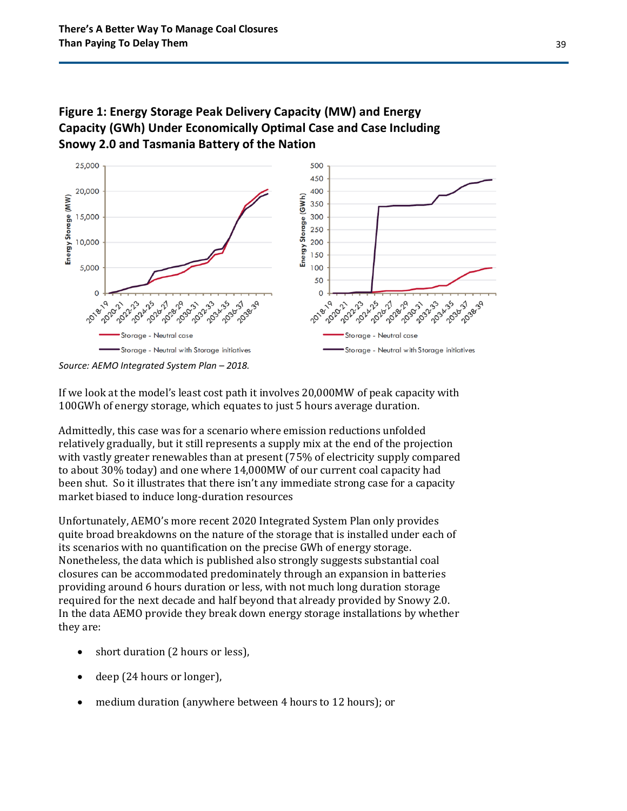

### **Figure 1: Energy Storage Peak Delivery Capacity (MW) and Energy Capacity (GWh) Under Economically Optimal Case and Case Including Snowy 2.0 and Tasmania Battery of the Nation**

Storage - Neutral with Storage initiatives

If we look at the model's least cost path it involves 20,000MW of peak capacity with 100GWh of energy storage, which equates to just 5 hours average duration.

Storage - Neutral with Storage initiatives

Admittedly, this case was for a scenario where emission reductions unfolded relatively gradually, but it still represents a supply mix at the end of the projection with vastly greater renewables than at present (75% of electricity supply compared to about 30% today) and one where 14,000MW of our current coal capacity had been shut. So it illustrates that there isn't any immediate strong case for a capacity market biased to induce long-duration resources

Unfortunately, AEMO's more recent 2020 Integrated System Plan only provides quite broad breakdowns on the nature of the storage that is installed under each of its scenarios with no quantification on the precise GWh of energy storage. Nonetheless, the data which is published also strongly suggests substantial coal closures can be accommodated predominately through an expansion in batteries providing around 6 hours duration or less, with not much long duration storage required for the next decade and half beyond that already provided by Snowy 2.0. In the data AEMO provide they break down energy storage installations by whether they are:

- short duration (2 hours or less),
- deep (24 hours or longer).
- medium duration (anywhere between 4 hours to 12 hours); or

*Source: AEMO Integrated System Plan – 2018.*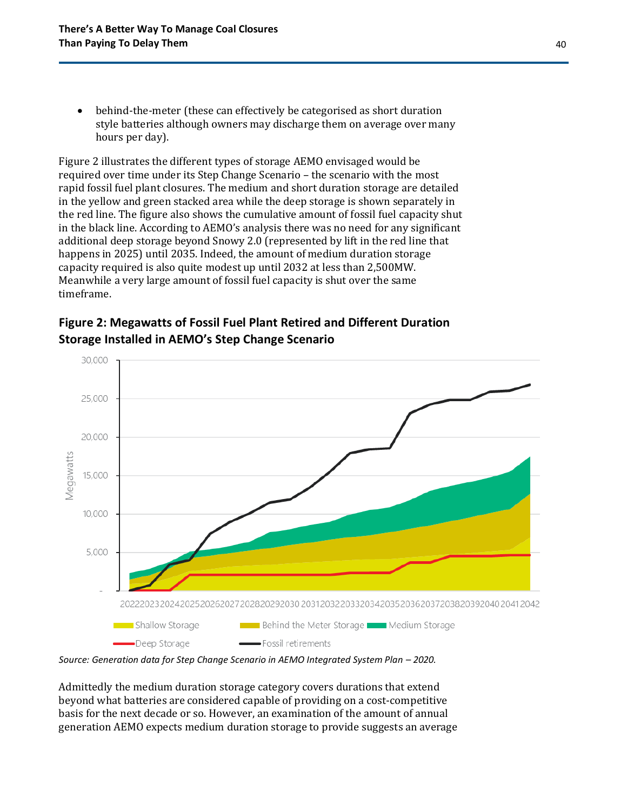• behind-the-meter (these can effectively be categorised as short duration style batteries although owners may discharge them on average over many hours per day).

Figure 2 illustrates the different types of storage AEMO envisaged would be required over time under its Step Change Scenario – the scenario with the most rapid fossil fuel plant closures. The medium and short duration storage are detailed in the yellow and green stacked area while the deep storage is shown separately in the red line. The figure also shows the cumulative amount of fossil fuel capacity shut in the black line. According to AEMO's analysis there was no need for any significant additional deep storage beyond Snowy 2.0 (represented by lift in the red line that happens in 2025) until 2035. Indeed, the amount of medium duration storage capacity required is also quite modest up until 2032 at less than 2,500MW. Meanwhile a very large amount of fossil fuel capacity is shut over the same timeframe.





*Source: Generation data for Step Change Scenario in AEMO Integrated System Plan – 2020.* 

Admittedly the medium duration storage category covers durations that extend beyond what batteries are considered capable of providing on a cost-competitive basis for the next decade or so. However, an examination of the amount of annual generation AEMO expects medium duration storage to provide suggests an average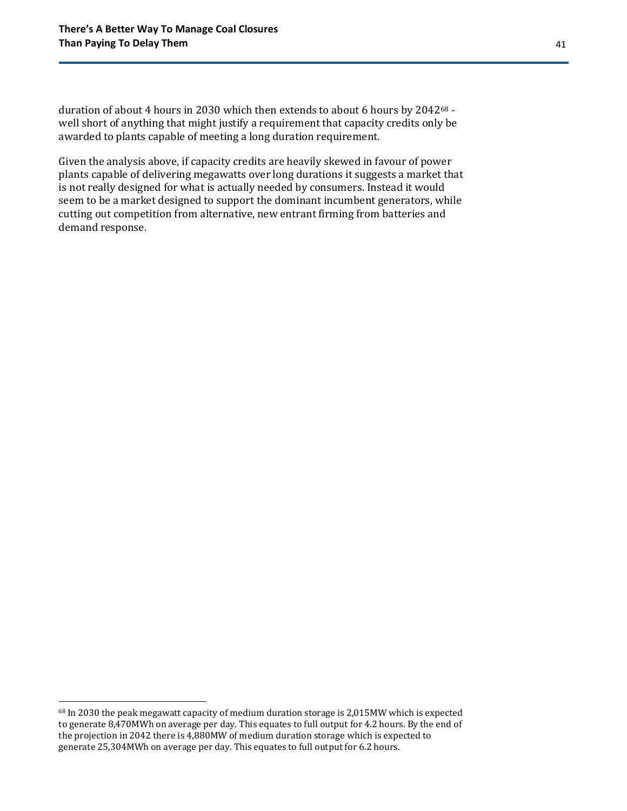duration of about 4 hours in 2030 which then extends to about 6 hours by 2042<sup>68</sup> well short of anything that might justify a requirement that capacity credits only be awarded to plants capable of meeting a long duration requirement.

Given the analysis above, if capacity credits are heavily skewed in favour of power plants capable of delivering megawatts over long durations it suggests a market that is not really designed for what is actually needed by consumers. Instead it would seem to be a market designed to support the dominant incumbent generators, while cutting out competition from alternative, new entrant firming from batteries and demand response.

<sup>&</sup>lt;sup>68</sup> In 2030 the peak megawatt capacity of medium duration storage is 2,015MW which is expected to generate 8,470MWh on average per day. This equates to full output for 4.2 hours. By the end of the projection in 2042 there is 4,880MW of medium duration storage which is expected to generate 25,304MWh on average per day. This equates to full output for 6.2 hours.